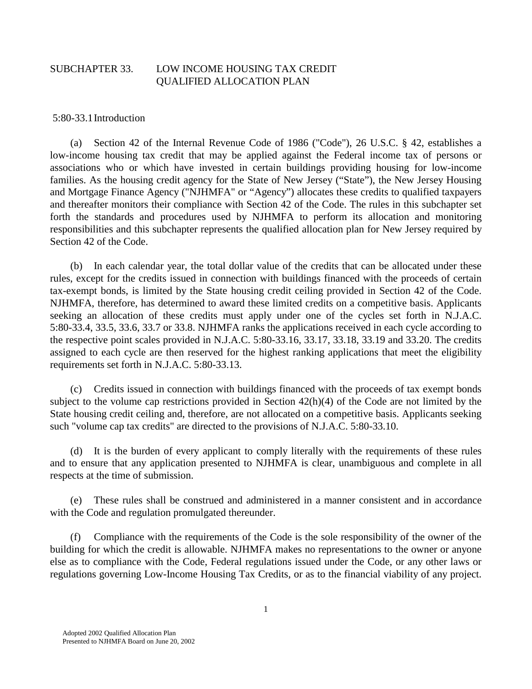### SUBCHAPTER 33. LOW INCOME HOUSING TAX CREDIT QUALIFIED ALLOCATION PLAN

5:80-33.1 Introduction

 (a) Section 42 of the Internal Revenue Code of 1986 ("Code"), 26 U.S.C. § 42, establishes a low-income housing tax credit that may be applied against the Federal income tax of persons or associations who or which have invested in certain buildings providing housing for low-income families. As the housing credit agency for the State of New Jersey ("State"), the New Jersey Housing and Mortgage Finance Agency ("NJHMFA" or "Agency") allocates these credits to qualified taxpayers and thereafter monitors their compliance with Section 42 of the Code. The rules in this subchapter set forth the standards and procedures used by NJHMFA to perform its allocation and monitoring responsibilities and this subchapter represents the qualified allocation plan for New Jersey required by Section 42 of the Code.

 (b) In each calendar year, the total dollar value of the credits that can be allocated under these rules, except for the credits issued in connection with buildings financed with the proceeds of certain tax-exempt bonds, is limited by the State housing credit ceiling provided in Section 42 of the Code. NJHMFA, therefore, has determined to award these limited credits on a competitive basis. Applicants seeking an allocation of these credits must apply under one of the cycles set forth in N.J.A.C. 5:80-33.4, 33.5, 33.6, 33.7 or 33.8. NJHMFA ranks the applications received in each cycle according to the respective point scales provided in N.J.A.C. 5:80-33.16, 33.17, 33.18, 33.19 and 33.20. The credits assigned to each cycle are then reserved for the highest ranking applications that meet the eligibility requirements set forth in N.J.A.C. 5:80-33.13.

 (c) Credits issued in connection with buildings financed with the proceeds of tax exempt bonds subject to the volume cap restrictions provided in Section 42(h)(4) of the Code are not limited by the State housing credit ceiling and, therefore, are not allocated on a competitive basis. Applicants seeking such "volume cap tax credits" are directed to the provisions of N.J.A.C. 5:80-33.10.

 (d) It is the burden of every applicant to comply literally with the requirements of these rules and to ensure that any application presented to NJHMFA is clear, unambiguous and complete in all respects at the time of submission.

 (e) These rules shall be construed and administered in a manner consistent and in accordance with the Code and regulation promulgated thereunder.

 (f) Compliance with the requirements of the Code is the sole responsibility of the owner of the building for which the credit is allowable. NJHMFA makes no representations to the owner or anyone else as to compliance with the Code, Federal regulations issued under the Code, or any other laws or regulations governing Low-Income Housing Tax Credits, or as to the financial viability of any project.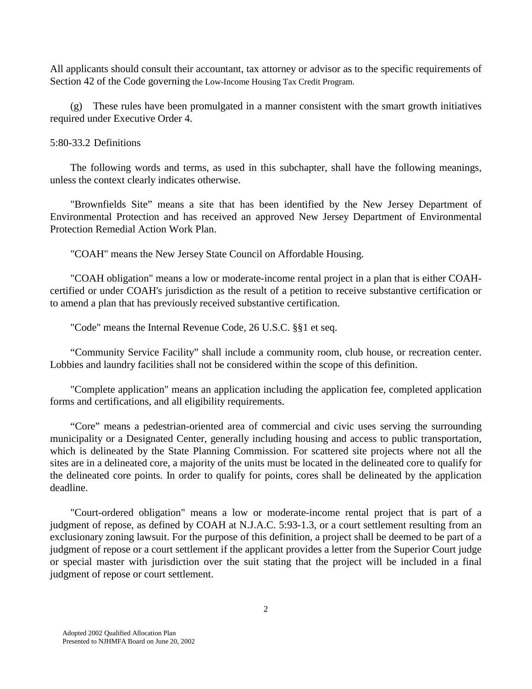All applicants should consult their accountant, tax attorney or advisor as to the specific requirements of Section 42 of the Code governing the Low-Income Housing Tax Credit Program.

(g) These rules have been promulgated in a manner consistent with the smart growth initiatives required under Executive Order 4.

#### 5:80-33.2 Definitions

 The following words and terms, as used in this subchapter, shall have the following meanings, unless the context clearly indicates otherwise.

 "Brownfields Site" means a site that has been identified by the New Jersey Department of Environmental Protection and has received an approved New Jersey Department of Environmental Protection Remedial Action Work Plan.

"COAH" means the New Jersey State Council on Affordable Housing.

 "COAH obligation" means a low or moderate-income rental project in a plan that is either COAHcertified or under COAH's jurisdiction as the result of a petition to receive substantive certification or to amend a plan that has previously received substantive certification.

"Code" means the Internal Revenue Code, 26 U.S.C. §§1 et seq.

 "Community Service Facility" shall include a community room, club house, or recreation center. Lobbies and laundry facilities shall not be considered within the scope of this definition.

 "Complete application" means an application including the application fee, completed application forms and certifications, and all eligibility requirements.

"Core" means a pedestrian-oriented area of commercial and civic uses serving the surrounding municipality or a Designated Center, generally including housing and access to public transportation, which is delineated by the State Planning Commission. For scattered site projects where not all the sites are in a delineated core, a majority of the units must be located in the delineated core to qualify for the delineated core points. In order to qualify for points, cores shall be delineated by the application deadline.

 "Court-ordered obligation" means a low or moderate-income rental project that is part of a judgment of repose, as defined by COAH at N.J.A.C. 5:93-1.3, or a court settlement resulting from an exclusionary zoning lawsuit. For the purpose of this definition, a project shall be deemed to be part of a judgment of repose or a court settlement if the applicant provides a letter from the Superior Court judge or special master with jurisdiction over the suit stating that the project will be included in a final judgment of repose or court settlement.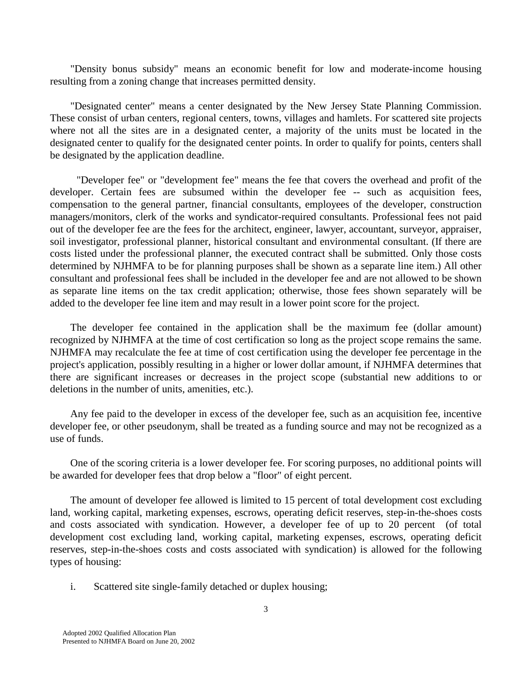"Density bonus subsidy" means an economic benefit for low and moderate-income housing resulting from a zoning change that increases permitted density.

 "Designated center" means a center designated by the New Jersey State Planning Commission. These consist of urban centers, regional centers, towns, villages and hamlets. For scattered site projects where not all the sites are in a designated center, a majority of the units must be located in the designated center to qualify for the designated center points. In order to qualify for points, centers shall be designated by the application deadline.

 "Developer fee" or "development fee" means the fee that covers the overhead and profit of the developer. Certain fees are subsumed within the developer fee -- such as acquisition fees, compensation to the general partner, financial consultants, employees of the developer, construction managers/monitors, clerk of the works and syndicator-required consultants. Professional fees not paid out of the developer fee are the fees for the architect, engineer, lawyer, accountant, surveyor, appraiser, soil investigator, professional planner, historical consultant and environmental consultant. (If there are costs listed under the professional planner, the executed contract shall be submitted. Only those costs determined by NJHMFA to be for planning purposes shall be shown as a separate line item.) All other consultant and professional fees shall be included in the developer fee and are not allowed to be shown as separate line items on the tax credit application; otherwise, those fees shown separately will be added to the developer fee line item and may result in a lower point score for the project.

 The developer fee contained in the application shall be the maximum fee (dollar amount) recognized by NJHMFA at the time of cost certification so long as the project scope remains the same. NJHMFA may recalculate the fee at time of cost certification using the developer fee percentage in the project's application, possibly resulting in a higher or lower dollar amount, if NJHMFA determines that there are significant increases or decreases in the project scope (substantial new additions to or deletions in the number of units, amenities, etc.).

 Any fee paid to the developer in excess of the developer fee, such as an acquisition fee, incentive developer fee, or other pseudonym, shall be treated as a funding source and may not be recognized as a use of funds.

 One of the scoring criteria is a lower developer fee. For scoring purposes, no additional points will be awarded for developer fees that drop below a "floor" of eight percent.

 The amount of developer fee allowed is limited to 15 percent of total development cost excluding land, working capital, marketing expenses, escrows, operating deficit reserves, step-in-the-shoes costs and costs associated with syndication. However, a developer fee of up to 20 percent (of total development cost excluding land, working capital, marketing expenses, escrows, operating deficit reserves, step-in-the-shoes costs and costs associated with syndication) is allowed for the following types of housing:

i. Scattered site single-family detached or duplex housing;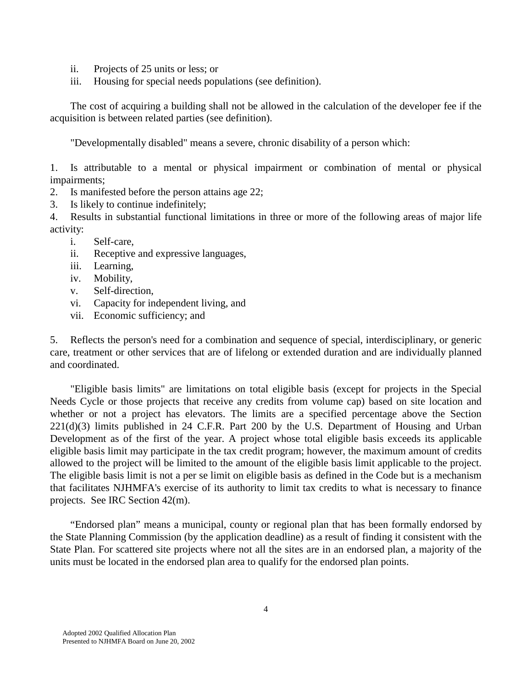- ii. Projects of 25 units or less; or
- iii. Housing for special needs populations (see definition).

 The cost of acquiring a building shall not be allowed in the calculation of the developer fee if the acquisition is between related parties (see definition).

"Developmentally disabled" means a severe, chronic disability of a person which:

1. Is attributable to a mental or physical impairment or combination of mental or physical impairments;

- 2. Is manifested before the person attains age 22;
- 3. Is likely to continue indefinitely;

4. Results in substantial functional limitations in three or more of the following areas of major life activity:

- i. Self-care,
- ii. Receptive and expressive languages,
- iii. Learning,
- iv. Mobility,
- v. Self-direction,
- vi. Capacity for independent living, and
- vii. Economic sufficiency; and

5. Reflects the person's need for a combination and sequence of special, interdisciplinary, or generic care, treatment or other services that are of lifelong or extended duration and are individually planned and coordinated.

 "Eligible basis limits" are limitations on total eligible basis (except for projects in the Special Needs Cycle or those projects that receive any credits from volume cap) based on site location and whether or not a project has elevators. The limits are a specified percentage above the Section 221(d)(3) limits published in 24 C.F.R. Part 200 by the U.S. Department of Housing and Urban Development as of the first of the year. A project whose total eligible basis exceeds its applicable eligible basis limit may participate in the tax credit program; however, the maximum amount of credits allowed to the project will be limited to the amount of the eligible basis limit applicable to the project. The eligible basis limit is not a per se limit on eligible basis as defined in the Code but is a mechanism that facilitates NJHMFA's exercise of its authority to limit tax credits to what is necessary to finance projects. See IRC Section 42(m).

 "Endorsed plan" means a municipal, county or regional plan that has been formally endorsed by the State Planning Commission (by the application deadline) as a result of finding it consistent with the State Plan. For scattered site projects where not all the sites are in an endorsed plan, a majority of the units must be located in the endorsed plan area to qualify for the endorsed plan points.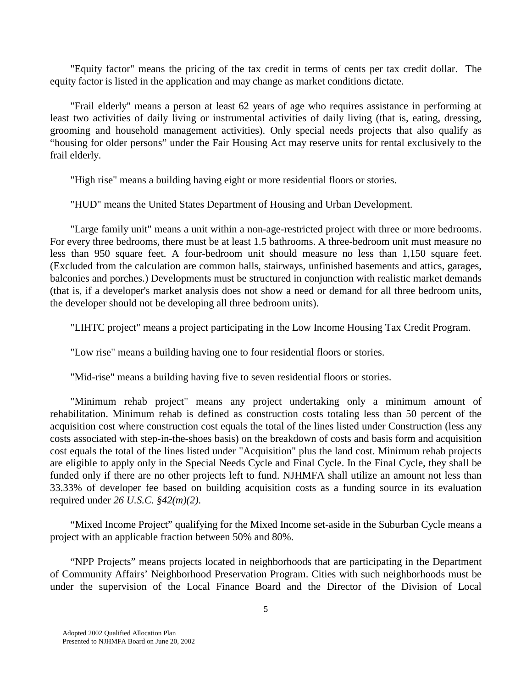"Equity factor" means the pricing of the tax credit in terms of cents per tax credit dollar. The equity factor is listed in the application and may change as market conditions dictate.

 "Frail elderly" means a person at least 62 years of age who requires assistance in performing at least two activities of daily living or instrumental activities of daily living (that is, eating, dressing, grooming and household management activities). Only special needs projects that also qualify as "housing for older persons" under the Fair Housing Act may reserve units for rental exclusively to the frail elderly.

"High rise" means a building having eight or more residential floors or stories.

"HUD" means the United States Department of Housing and Urban Development.

 "Large family unit" means a unit within a non-age-restricted project with three or more bedrooms. For every three bedrooms, there must be at least 1.5 bathrooms. A three-bedroom unit must measure no less than 950 square feet. A four-bedroom unit should measure no less than 1,150 square feet. (Excluded from the calculation are common halls, stairways, unfinished basements and attics, garages, balconies and porches.) Developments must be structured in conjunction with realistic market demands (that is, if a developer's market analysis does not show a need or demand for all three bedroom units, the developer should not be developing all three bedroom units).

"LIHTC project" means a project participating in the Low Income Housing Tax Credit Program.

"Low rise" means a building having one to four residential floors or stories.

"Mid-rise" means a building having five to seven residential floors or stories.

 "Minimum rehab project" means any project undertaking only a minimum amount of rehabilitation. Minimum rehab is defined as construction costs totaling less than 50 percent of the acquisition cost where construction cost equals the total of the lines listed under Construction (less any costs associated with step-in-the-shoes basis) on the breakdown of costs and basis form and acquisition cost equals the total of the lines listed under "Acquisition" plus the land cost. Minimum rehab projects are eligible to apply only in the Special Needs Cycle and Final Cycle. In the Final Cycle, they shall be funded only if there are no other projects left to fund. NJHMFA shall utilize an amount not less than 33.33% of developer fee based on building acquisition costs as a funding source in its evaluation required under *26 U.S.C. §42(m)(2)*.

 "Mixed Income Project" qualifying for the Mixed Income set-aside in the Suburban Cycle means a project with an applicable fraction between 50% and 80%.

 "NPP Projects" means projects located in neighborhoods that are participating in the Department of Community Affairs' Neighborhood Preservation Program. Cities with such neighborhoods must be under the supervision of the Local Finance Board and the Director of the Division of Local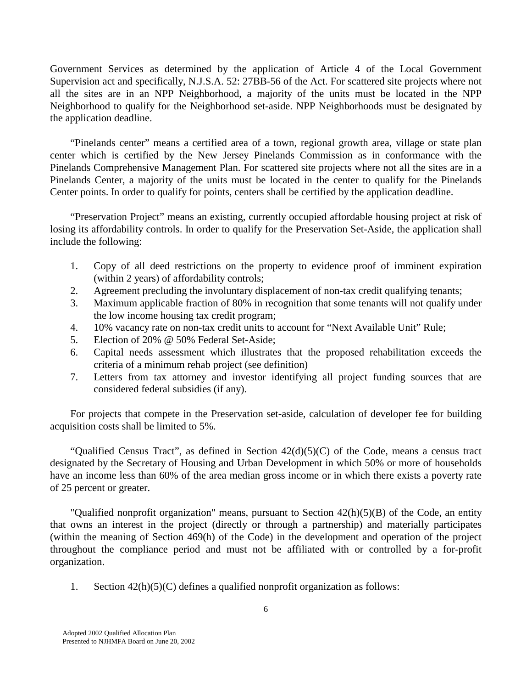Government Services as determined by the application of Article 4 of the Local Government Supervision act and specifically, N.J.S.A. 52: 27BB-56 of the Act. For scattered site projects where not all the sites are in an NPP Neighborhood, a majority of the units must be located in the NPP Neighborhood to qualify for the Neighborhood set-aside. NPP Neighborhoods must be designated by the application deadline.

 "Pinelands center" means a certified area of a town, regional growth area, village or state plan center which is certified by the New Jersey Pinelands Commission as in conformance with the Pinelands Comprehensive Management Plan. For scattered site projects where not all the sites are in a Pinelands Center, a majority of the units must be located in the center to qualify for the Pinelands Center points. In order to qualify for points, centers shall be certified by the application deadline.

 "Preservation Project" means an existing, currently occupied affordable housing project at risk of losing its affordability controls. In order to qualify for the Preservation Set-Aside, the application shall include the following:

- 1. Copy of all deed restrictions on the property to evidence proof of imminent expiration (within 2 years) of affordability controls;
- 2. Agreement precluding the involuntary displacement of non-tax credit qualifying tenants;
- 3. Maximum applicable fraction of 80% in recognition that some tenants will not qualify under the low income housing tax credit program;
- 4. 10% vacancy rate on non-tax credit units to account for "Next Available Unit" Rule;
- 5. Election of 20% @ 50% Federal Set-Aside;
- 6. Capital needs assessment which illustrates that the proposed rehabilitation exceeds the criteria of a minimum rehab project (see definition)
- 7. Letters from tax attorney and investor identifying all project funding sources that are considered federal subsidies (if any).

 For projects that compete in the Preservation set-aside, calculation of developer fee for building acquisition costs shall be limited to 5%.

"Qualified Census Tract", as defined in Section  $42(d)(5)(C)$  of the Code, means a census tract designated by the Secretary of Housing and Urban Development in which 50% or more of households have an income less than 60% of the area median gross income or in which there exists a poverty rate of 25 percent or greater.

 "Qualified nonprofit organization" means, pursuant to Section 42(h)(5)(B) of the Code, an entity that owns an interest in the project (directly or through a partnership) and materially participates (within the meaning of Section 469(h) of the Code) in the development and operation of the project throughout the compliance period and must not be affiliated with or controlled by a for-profit organization.

1. Section 42(h)(5)(C) defines a qualified nonprofit organization as follows: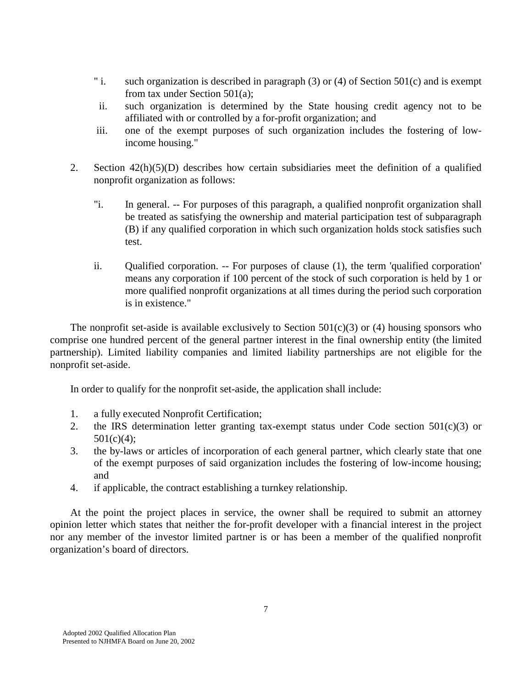- " i. such organization is described in paragraph (3) or (4) of Section 501(c) and is exempt from tax under Section 501(a);
- ii. such organization is determined by the State housing credit agency not to be affiliated with or controlled by a for-profit organization; and
- iii. one of the exempt purposes of such organization includes the fostering of lowincome housing."
- 2. Section 42(h)(5)(D) describes how certain subsidiaries meet the definition of a qualified nonprofit organization as follows:
	- "i. In general. -- For purposes of this paragraph, a qualified nonprofit organization shall be treated as satisfying the ownership and material participation test of subparagraph (B) if any qualified corporation in which such organization holds stock satisfies such test.
	- ii. Qualified corporation. -- For purposes of clause (1), the term 'qualified corporation' means any corporation if 100 percent of the stock of such corporation is held by 1 or more qualified nonprofit organizations at all times during the period such corporation is in existence."

The nonprofit set-aside is available exclusively to Section  $501(c)(3)$  or (4) housing sponsors who comprise one hundred percent of the general partner interest in the final ownership entity (the limited partnership). Limited liability companies and limited liability partnerships are not eligible for the nonprofit set-aside.

In order to qualify for the nonprofit set-aside, the application shall include:

- 1. a fully executed Nonprofit Certification;
- 2. the IRS determination letter granting tax-exempt status under Code section  $501(c)(3)$  or  $501(c)(4)$ ;
- 3. the by-laws or articles of incorporation of each general partner, which clearly state that one of the exempt purposes of said organization includes the fostering of low-income housing; and
- 4. if applicable, the contract establishing a turnkey relationship.

 At the point the project places in service, the owner shall be required to submit an attorney opinion letter which states that neither the for-profit developer with a financial interest in the project nor any member of the investor limited partner is or has been a member of the qualified nonprofit organization's board of directors.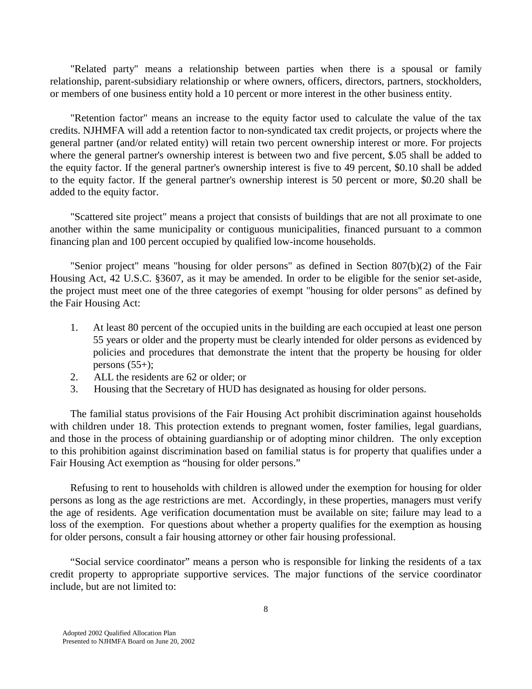"Related party" means a relationship between parties when there is a spousal or family relationship, parent-subsidiary relationship or where owners, officers, directors, partners, stockholders, or members of one business entity hold a 10 percent or more interest in the other business entity.

 "Retention factor" means an increase to the equity factor used to calculate the value of the tax credits. NJHMFA will add a retention factor to non-syndicated tax credit projects, or projects where the general partner (and/or related entity) will retain two percent ownership interest or more. For projects where the general partner's ownership interest is between two and five percent, \$.05 shall be added to the equity factor. If the general partner's ownership interest is five to 49 percent, \$0.10 shall be added to the equity factor. If the general partner's ownership interest is 50 percent or more, \$0.20 shall be added to the equity factor.

 "Scattered site project" means a project that consists of buildings that are not all proximate to one another within the same municipality or contiguous municipalities, financed pursuant to a common financing plan and 100 percent occupied by qualified low-income households.

 "Senior project" means "housing for older persons" as defined in Section 807(b)(2) of the Fair Housing Act, 42 U.S.C. §3607, as it may be amended. In order to be eligible for the senior set-aside, the project must meet one of the three categories of exempt "housing for older persons" as defined by the Fair Housing Act:

- 1. At least 80 percent of the occupied units in the building are each occupied at least one person 55 years or older and the property must be clearly intended for older persons as evidenced by policies and procedures that demonstrate the intent that the property be housing for older persons  $(55+)$ ;
- 2. ALL the residents are 62 or older; or
- 3. Housing that the Secretary of HUD has designated as housing for older persons.

 The familial status provisions of the Fair Housing Act prohibit discrimination against households with children under 18. This protection extends to pregnant women, foster families, legal guardians, and those in the process of obtaining guardianship or of adopting minor children. The only exception to this prohibition against discrimination based on familial status is for property that qualifies under a Fair Housing Act exemption as "housing for older persons."

 Refusing to rent to households with children is allowed under the exemption for housing for older persons as long as the age restrictions are met. Accordingly, in these properties, managers must verify the age of residents. Age verification documentation must be available on site; failure may lead to a loss of the exemption. For questions about whether a property qualifies for the exemption as housing for older persons, consult a fair housing attorney or other fair housing professional.

 "Social service coordinator" means a person who is responsible for linking the residents of a tax credit property to appropriate supportive services. The major functions of the service coordinator include, but are not limited to: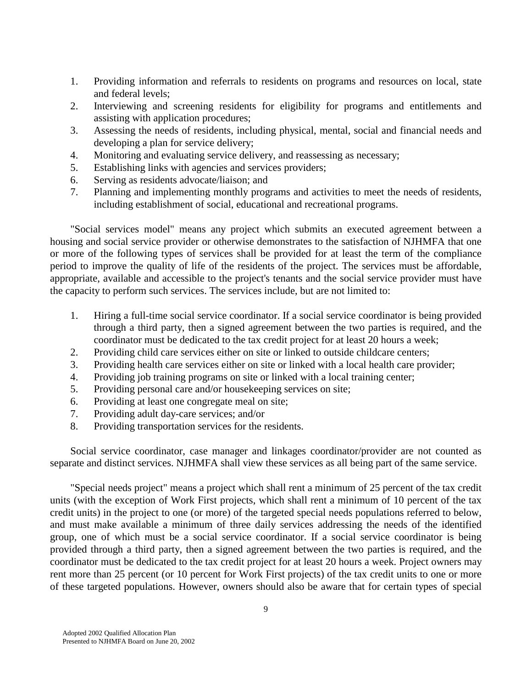- 1. Providing information and referrals to residents on programs and resources on local, state and federal levels;
- 2. Interviewing and screening residents for eligibility for programs and entitlements and assisting with application procedures;
- 3. Assessing the needs of residents, including physical, mental, social and financial needs and developing a plan for service delivery;
- 4. Monitoring and evaluating service delivery, and reassessing as necessary;
- 5. Establishing links with agencies and services providers;
- 6. Serving as residents advocate/liaison; and
- 7. Planning and implementing monthly programs and activities to meet the needs of residents, including establishment of social, educational and recreational programs.

 "Social services model" means any project which submits an executed agreement between a housing and social service provider or otherwise demonstrates to the satisfaction of NJHMFA that one or more of the following types of services shall be provided for at least the term of the compliance period to improve the quality of life of the residents of the project. The services must be affordable, appropriate, available and accessible to the project's tenants and the social service provider must have the capacity to perform such services. The services include, but are not limited to:

- 1. Hiring a full-time social service coordinator. If a social service coordinator is being provided through a third party, then a signed agreement between the two parties is required, and the coordinator must be dedicated to the tax credit project for at least 20 hours a week;
- 2. Providing child care services either on site or linked to outside childcare centers;
- 3. Providing health care services either on site or linked with a local health care provider;
- 4. Providing job training programs on site or linked with a local training center;
- 5. Providing personal care and/or housekeeping services on site;
- 6. Providing at least one congregate meal on site;
- 7. Providing adult day-care services; and/or
- 8. Providing transportation services for the residents.

 Social service coordinator, case manager and linkages coordinator/provider are not counted as separate and distinct services. NJHMFA shall view these services as all being part of the same service.

 "Special needs project" means a project which shall rent a minimum of 25 percent of the tax credit units (with the exception of Work First projects, which shall rent a minimum of 10 percent of the tax credit units) in the project to one (or more) of the targeted special needs populations referred to below, and must make available a minimum of three daily services addressing the needs of the identified group, one of which must be a social service coordinator. If a social service coordinator is being provided through a third party, then a signed agreement between the two parties is required, and the coordinator must be dedicated to the tax credit project for at least 20 hours a week. Project owners may rent more than 25 percent (or 10 percent for Work First projects) of the tax credit units to one or more of these targeted populations. However, owners should also be aware that for certain types of special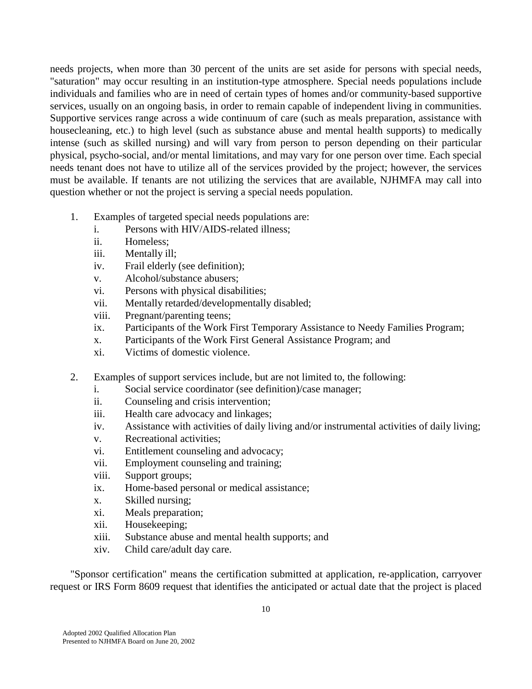needs projects, when more than 30 percent of the units are set aside for persons with special needs, "saturation" may occur resulting in an institution-type atmosphere. Special needs populations include individuals and families who are in need of certain types of homes and/or community-based supportive services, usually on an ongoing basis, in order to remain capable of independent living in communities. Supportive services range across a wide continuum of care (such as meals preparation, assistance with housecleaning, etc.) to high level (such as substance abuse and mental health supports) to medically intense (such as skilled nursing) and will vary from person to person depending on their particular physical, psycho-social, and/or mental limitations, and may vary for one person over time. Each special needs tenant does not have to utilize all of the services provided by the project; however, the services must be available. If tenants are not utilizing the services that are available, NJHMFA may call into question whether or not the project is serving a special needs population.

- 1. Examples of targeted special needs populations are:
	- i. Persons with HIV/AIDS-related illness;
	- ii. Homeless;
	- iii. Mentally ill;
	- iv. Frail elderly (see definition);
	- v. Alcohol/substance abusers;
	- vi. Persons with physical disabilities;
	- vii. Mentally retarded/developmentally disabled;
	- viii. Pregnant/parenting teens;
	- ix. Participants of the Work First Temporary Assistance to Needy Families Program;
	- x. Participants of the Work First General Assistance Program; and
	- xi. Victims of domestic violence.
- 2. Examples of support services include, but are not limited to, the following:
	- i. Social service coordinator (see definition)/case manager;
	- ii. Counseling and crisis intervention;
	- iii. Health care advocacy and linkages;
	- iv. Assistance with activities of daily living and/or instrumental activities of daily living;
	- v. Recreational activities;
	- vi. Entitlement counseling and advocacy;
	- vii. Employment counseling and training;
	- viii. Support groups;
	- ix. Home-based personal or medical assistance;
	- x. Skilled nursing;
	- xi. Meals preparation;
	- xii. Housekeeping;
	- xiii. Substance abuse and mental health supports; and
	- xiv. Child care/adult day care.

 "Sponsor certification" means the certification submitted at application, re-application, carryover request or IRS Form 8609 request that identifies the anticipated or actual date that the project is placed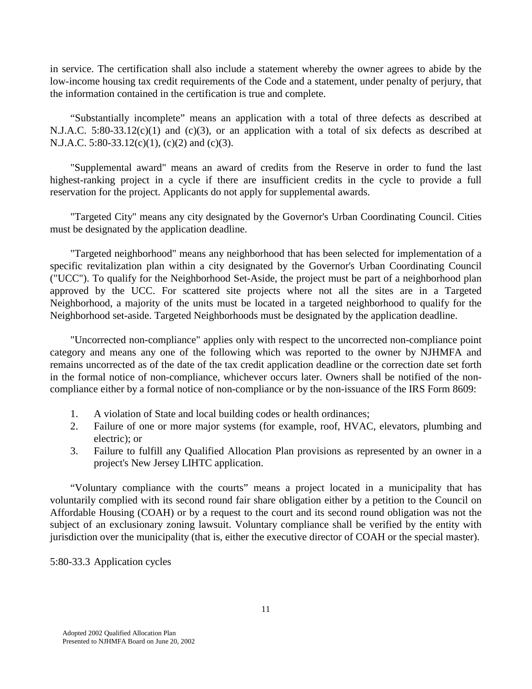in service. The certification shall also include a statement whereby the owner agrees to abide by the low-income housing tax credit requirements of the Code and a statement, under penalty of perjury, that the information contained in the certification is true and complete.

 "Substantially incomplete" means an application with a total of three defects as described at N.J.A.C. 5:80-33.12(c)(1) and (c)(3), or an application with a total of six defects as described at N.J.A.C. 5:80-33.12(c)(1), (c)(2) and (c)(3).

 "Supplemental award" means an award of credits from the Reserve in order to fund the last highest-ranking project in a cycle if there are insufficient credits in the cycle to provide a full reservation for the project. Applicants do not apply for supplemental awards.

 "Targeted City" means any city designated by the Governor's Urban Coordinating Council. Cities must be designated by the application deadline.

 "Targeted neighborhood" means any neighborhood that has been selected for implementation of a specific revitalization plan within a city designated by the Governor's Urban Coordinating Council ("UCC"). To qualify for the Neighborhood Set-Aside, the project must be part of a neighborhood plan approved by the UCC. For scattered site projects where not all the sites are in a Targeted Neighborhood, a majority of the units must be located in a targeted neighborhood to qualify for the Neighborhood set-aside. Targeted Neighborhoods must be designated by the application deadline.

 "Uncorrected non-compliance" applies only with respect to the uncorrected non-compliance point category and means any one of the following which was reported to the owner by NJHMFA and remains uncorrected as of the date of the tax credit application deadline or the correction date set forth in the formal notice of non-compliance, whichever occurs later. Owners shall be notified of the noncompliance either by a formal notice of non-compliance or by the non-issuance of the IRS Form 8609:

- 1. A violation of State and local building codes or health ordinances;
- 2. Failure of one or more major systems (for example, roof, HVAC, elevators, plumbing and electric); or
- 3. Failure to fulfill any Qualified Allocation Plan provisions as represented by an owner in a project's New Jersey LIHTC application.

 "Voluntary compliance with the courts" means a project located in a municipality that has voluntarily complied with its second round fair share obligation either by a petition to the Council on Affordable Housing (COAH) or by a request to the court and its second round obligation was not the subject of an exclusionary zoning lawsuit. Voluntary compliance shall be verified by the entity with jurisdiction over the municipality (that is, either the executive director of COAH or the special master).

5:80-33.3 Application cycles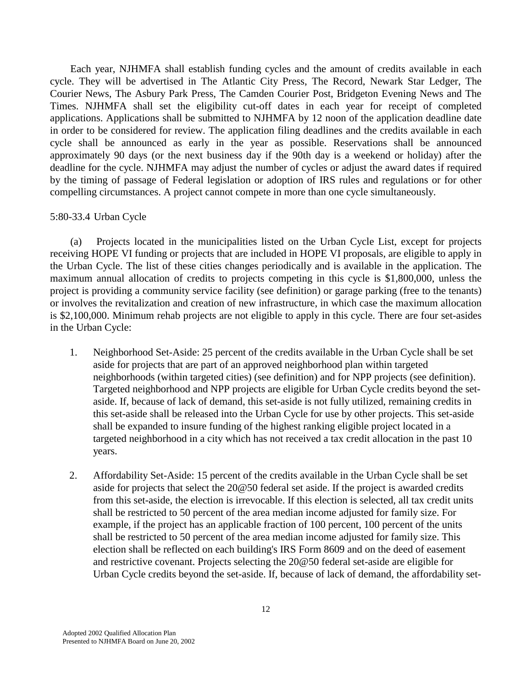Each year, NJHMFA shall establish funding cycles and the amount of credits available in each cycle. They will be advertised in The Atlantic City Press, The Record, Newark Star Ledger, The Courier News, The Asbury Park Press, The Camden Courier Post, Bridgeton Evening News and The Times. NJHMFA shall set the eligibility cut-off dates in each year for receipt of completed applications. Applications shall be submitted to NJHMFA by 12 noon of the application deadline date in order to be considered for review. The application filing deadlines and the credits available in each cycle shall be announced as early in the year as possible. Reservations shall be announced approximately 90 days (or the next business day if the 90th day is a weekend or holiday) after the deadline for the cycle. NJHMFA may adjust the number of cycles or adjust the award dates if required by the timing of passage of Federal legislation or adoption of IRS rules and regulations or for other compelling circumstances. A project cannot compete in more than one cycle simultaneously.

#### 5:80-33.4 Urban Cycle

 (a) Projects located in the municipalities listed on the Urban Cycle List, except for projects receiving HOPE VI funding or projects that are included in HOPE VI proposals, are eligible to apply in the Urban Cycle. The list of these cities changes periodically and is available in the application. The maximum annual allocation of credits to projects competing in this cycle is \$1,800,000, unless the project is providing a community service facility (see definition) or garage parking (free to the tenants) or involves the revitalization and creation of new infrastructure, in which case the maximum allocation is \$2,100,000. Minimum rehab projects are not eligible to apply in this cycle. There are four set-asides in the Urban Cycle:

- 1. Neighborhood Set-Aside: 25 percent of the credits available in the Urban Cycle shall be set aside for projects that are part of an approved neighborhood plan within targeted neighborhoods (within targeted cities) (see definition) and for NPP projects (see definition). Targeted neighborhood and NPP projects are eligible for Urban Cycle credits beyond the setaside. If, because of lack of demand, this set-aside is not fully utilized, remaining credits in this set-aside shall be released into the Urban Cycle for use by other projects. This set-aside shall be expanded to insure funding of the highest ranking eligible project located in a targeted neighborhood in a city which has not received a tax credit allocation in the past 10 years.
- 2. Affordability Set-Aside: 15 percent of the credits available in the Urban Cycle shall be set aside for projects that select the 20@50 federal set aside. If the project is awarded credits from this set-aside, the election is irrevocable. If this election is selected, all tax credit units shall be restricted to 50 percent of the area median income adjusted for family size. For example, if the project has an applicable fraction of 100 percent, 100 percent of the units shall be restricted to 50 percent of the area median income adjusted for family size. This election shall be reflected on each building's IRS Form 8609 and on the deed of easement and restrictive covenant. Projects selecting the 20@50 federal set-aside are eligible for Urban Cycle credits beyond the set-aside. If, because of lack of demand, the affordability set-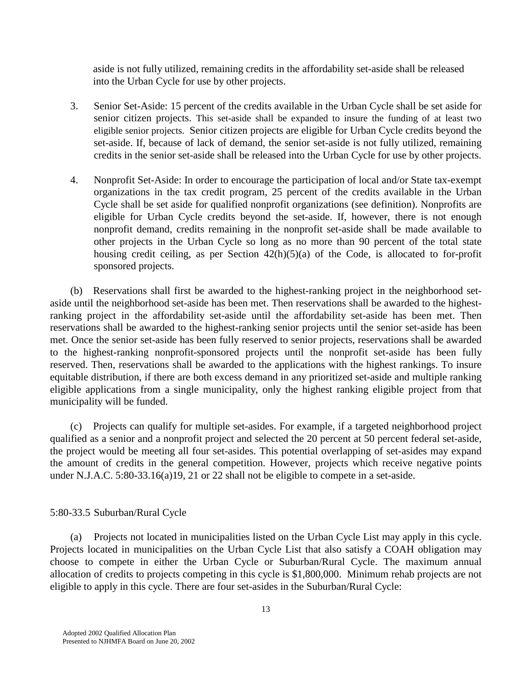aside is not fully utilized, remaining credits in the affordability set-aside shall be released into the Urban Cycle for use by other projects.

- 3. Senior Set-Aside: 15 percent of the credits available in the Urban Cycle shall be set aside for senior citizen projects. This set-aside shall be expanded to insure the funding of at least two eligible senior projects. Senior citizen projects are eligible for Urban Cycle credits beyond the set-aside. If, because of lack of demand, the senior set-aside is not fully utilized, remaining credits in the senior set-aside shall be released into the Urban Cycle for use by other projects.
- 4. Nonprofit Set-Aside: In order to encourage the participation of local and/or State tax-exempt organizations in the tax credit program, 25 percent of the credits available in the Urban Cycle shall be set aside for qualified nonprofit organizations (see definition). Nonprofits are eligible for Urban Cycle credits beyond the set-aside. If, however, there is not enough nonprofit demand, credits remaining in the nonprofit set-aside shall be made available to other projects in the Urban Cycle so long as no more than 90 percent of the total state housing credit ceiling, as per Section  $42(h)(5)(a)$  of the Code, is allocated to for-profit sponsored projects.

 (b) Reservations shall first be awarded to the highest-ranking project in the neighborhood setaside until the neighborhood set-aside has been met. Then reservations shall be awarded to the highestranking project in the affordability set-aside until the affordability set-aside has been met. Then reservations shall be awarded to the highest-ranking senior projects until the senior set-aside has been met. Once the senior set-aside has been fully reserved to senior projects, reservations shall be awarded to the highest-ranking nonprofit-sponsored projects until the nonprofit set-aside has been fully reserved. Then, reservations shall be awarded to the applications with the highest rankings. To insure equitable distribution, if there are both excess demand in any prioritized set-aside and multiple ranking eligible applications from a single municipality, only the highest ranking eligible project from that municipality will be funded.

 (c) Projects can qualify for multiple set-asides. For example, if a targeted neighborhood project qualified as a senior and a nonprofit project and selected the 20 percent at 50 percent federal set-aside, the project would be meeting all four set-asides. This potential overlapping of set-asides may expand the amount of credits in the general competition. However, projects which receive negative points under N.J.A.C. 5:80-33.16(a)19, 21 or 22 shall not be eligible to compete in a set-aside.

### 5:80-33.5 Suburban/Rural Cycle

 (a) Projects not located in municipalities listed on the Urban Cycle List may apply in this cycle. Projects located in municipalities on the Urban Cycle List that also satisfy a COAH obligation may choose to compete in either the Urban Cycle or Suburban/Rural Cycle. The maximum annual allocation of credits to projects competing in this cycle is \$1,800,000. Minimum rehab projects are not eligible to apply in this cycle. There are four set-asides in the Suburban/Rural Cycle: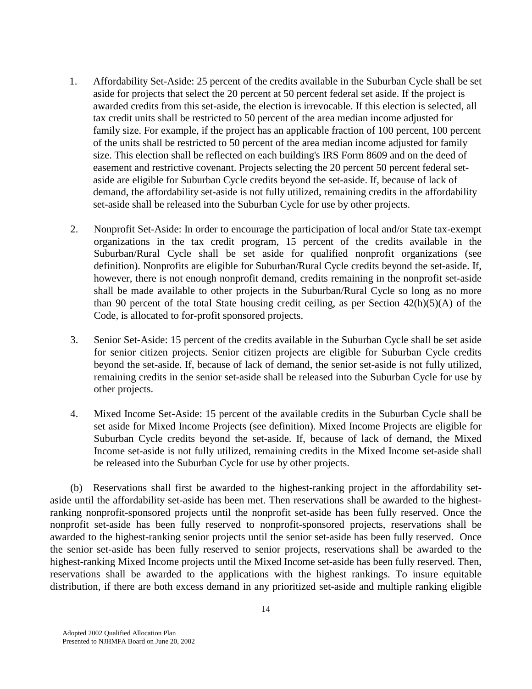- 1. Affordability Set-Aside: 25 percent of the credits available in the Suburban Cycle shall be set aside for projects that select the 20 percent at 50 percent federal set aside. If the project is awarded credits from this set-aside, the election is irrevocable. If this election is selected, all tax credit units shall be restricted to 50 percent of the area median income adjusted for family size. For example, if the project has an applicable fraction of 100 percent, 100 percent of the units shall be restricted to 50 percent of the area median income adjusted for family size. This election shall be reflected on each building's IRS Form 8609 and on the deed of easement and restrictive covenant. Projects selecting the 20 percent 50 percent federal setaside are eligible for Suburban Cycle credits beyond the set-aside. If, because of lack of demand, the affordability set-aside is not fully utilized, remaining credits in the affordability set-aside shall be released into the Suburban Cycle for use by other projects.
- 2. Nonprofit Set-Aside: In order to encourage the participation of local and/or State tax-exempt organizations in the tax credit program, 15 percent of the credits available in the Suburban/Rural Cycle shall be set aside for qualified nonprofit organizations (see definition). Nonprofits are eligible for Suburban/Rural Cycle credits beyond the set-aside. If, however, there is not enough nonprofit demand, credits remaining in the nonprofit set-aside shall be made available to other projects in the Suburban/Rural Cycle so long as no more than 90 percent of the total State housing credit ceiling, as per Section  $42(h)(5)(A)$  of the Code, is allocated to for-profit sponsored projects.
- 3. Senior Set-Aside: 15 percent of the credits available in the Suburban Cycle shall be set aside for senior citizen projects. Senior citizen projects are eligible for Suburban Cycle credits beyond the set-aside. If, because of lack of demand, the senior set-aside is not fully utilized, remaining credits in the senior set-aside shall be released into the Suburban Cycle for use by other projects.
- 4. Mixed Income Set-Aside: 15 percent of the available credits in the Suburban Cycle shall be set aside for Mixed Income Projects (see definition). Mixed Income Projects are eligible for Suburban Cycle credits beyond the set-aside. If, because of lack of demand, the Mixed Income set-aside is not fully utilized, remaining credits in the Mixed Income set-aside shall be released into the Suburban Cycle for use by other projects.

 (b) Reservations shall first be awarded to the highest-ranking project in the affordability setaside until the affordability set-aside has been met. Then reservations shall be awarded to the highestranking nonprofit-sponsored projects until the nonprofit set-aside has been fully reserved. Once the nonprofit set-aside has been fully reserved to nonprofit-sponsored projects, reservations shall be awarded to the highest-ranking senior projects until the senior set-aside has been fully reserved. Once the senior set-aside has been fully reserved to senior projects, reservations shall be awarded to the highest-ranking Mixed Income projects until the Mixed Income set-aside has been fully reserved. Then, reservations shall be awarded to the applications with the highest rankings. To insure equitable distribution, if there are both excess demand in any prioritized set-aside and multiple ranking eligible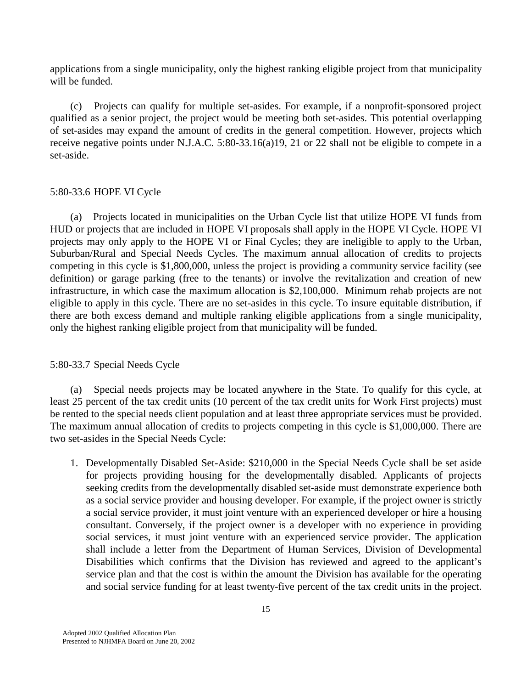applications from a single municipality, only the highest ranking eligible project from that municipality will be funded.

 (c) Projects can qualify for multiple set-asides. For example, if a nonprofit-sponsored project qualified as a senior project, the project would be meeting both set-asides. This potential overlapping of set-asides may expand the amount of credits in the general competition. However, projects which receive negative points under N.J.A.C. 5:80-33.16(a)19, 21 or 22 shall not be eligible to compete in a set-aside.

## 5:80-33.6 HOPE VI Cycle

 (a) Projects located in municipalities on the Urban Cycle list that utilize HOPE VI funds from HUD or projects that are included in HOPE VI proposals shall apply in the HOPE VI Cycle. HOPE VI projects may only apply to the HOPE VI or Final Cycles; they are ineligible to apply to the Urban, Suburban/Rural and Special Needs Cycles. The maximum annual allocation of credits to projects competing in this cycle is \$1,800,000, unless the project is providing a community service facility (see definition) or garage parking (free to the tenants) or involve the revitalization and creation of new infrastructure, in which case the maximum allocation is \$2,100,000. Minimum rehab projects are not eligible to apply in this cycle. There are no set-asides in this cycle. To insure equitable distribution, if there are both excess demand and multiple ranking eligible applications from a single municipality, only the highest ranking eligible project from that municipality will be funded.

# 5:80-33.7 Special Needs Cycle

 (a) Special needs projects may be located anywhere in the State. To qualify for this cycle, at least 25 percent of the tax credit units (10 percent of the tax credit units for Work First projects) must be rented to the special needs client population and at least three appropriate services must be provided. The maximum annual allocation of credits to projects competing in this cycle is \$1,000,000. There are two set-asides in the Special Needs Cycle:

1. Developmentally Disabled Set-Aside: \$210,000 in the Special Needs Cycle shall be set aside for projects providing housing for the developmentally disabled. Applicants of projects seeking credits from the developmentally disabled set-aside must demonstrate experience both as a social service provider and housing developer. For example, if the project owner is strictly a social service provider, it must joint venture with an experienced developer or hire a housing consultant. Conversely, if the project owner is a developer with no experience in providing social services, it must joint venture with an experienced service provider. The application shall include a letter from the Department of Human Services, Division of Developmental Disabilities which confirms that the Division has reviewed and agreed to the applicant's service plan and that the cost is within the amount the Division has available for the operating and social service funding for at least twenty-five percent of the tax credit units in the project.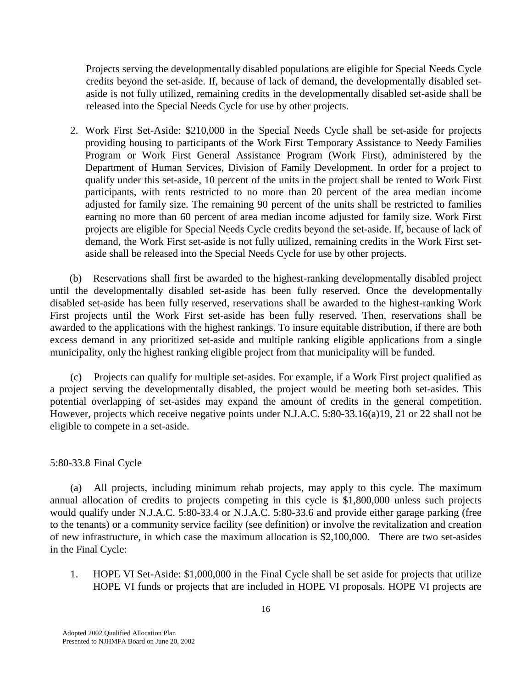Projects serving the developmentally disabled populations are eligible for Special Needs Cycle credits beyond the set-aside. If, because of lack of demand, the developmentally disabled setaside is not fully utilized, remaining credits in the developmentally disabled set-aside shall be released into the Special Needs Cycle for use by other projects.

2. Work First Set-Aside: \$210,000 in the Special Needs Cycle shall be set-aside for projects providing housing to participants of the Work First Temporary Assistance to Needy Families Program or Work First General Assistance Program (Work First), administered by the Department of Human Services, Division of Family Development. In order for a project to qualify under this set-aside, 10 percent of the units in the project shall be rented to Work First participants, with rents restricted to no more than 20 percent of the area median income adjusted for family size. The remaining 90 percent of the units shall be restricted to families earning no more than 60 percent of area median income adjusted for family size. Work First projects are eligible for Special Needs Cycle credits beyond the set-aside. If, because of lack of demand, the Work First set-aside is not fully utilized, remaining credits in the Work First setaside shall be released into the Special Needs Cycle for use by other projects.

 (b) Reservations shall first be awarded to the highest-ranking developmentally disabled project until the developmentally disabled set-aside has been fully reserved. Once the developmentally disabled set-aside has been fully reserved, reservations shall be awarded to the highest-ranking Work First projects until the Work First set-aside has been fully reserved. Then, reservations shall be awarded to the applications with the highest rankings. To insure equitable distribution, if there are both excess demand in any prioritized set-aside and multiple ranking eligible applications from a single municipality, only the highest ranking eligible project from that municipality will be funded.

 (c) Projects can qualify for multiple set-asides. For example, if a Work First project qualified as a project serving the developmentally disabled, the project would be meeting both set-asides. This potential overlapping of set-asides may expand the amount of credits in the general competition. However, projects which receive negative points under N.J.A.C. 5:80-33.16(a)19, 21 or 22 shall not be eligible to compete in a set-aside.

# 5:80-33.8 Final Cycle

 (a) All projects, including minimum rehab projects, may apply to this cycle. The maximum annual allocation of credits to projects competing in this cycle is \$1,800,000 unless such projects would qualify under N.J.A.C. 5:80-33.4 or N.J.A.C. 5:80-33.6 and provide either garage parking (free to the tenants) or a community service facility (see definition) or involve the revitalization and creation of new infrastructure, in which case the maximum allocation is \$2,100,000. There are two set-asides in the Final Cycle:

 1. HOPE VI Set-Aside: \$1,000,000 in the Final Cycle shall be set aside for projects that utilize HOPE VI funds or projects that are included in HOPE VI proposals. HOPE VI projects are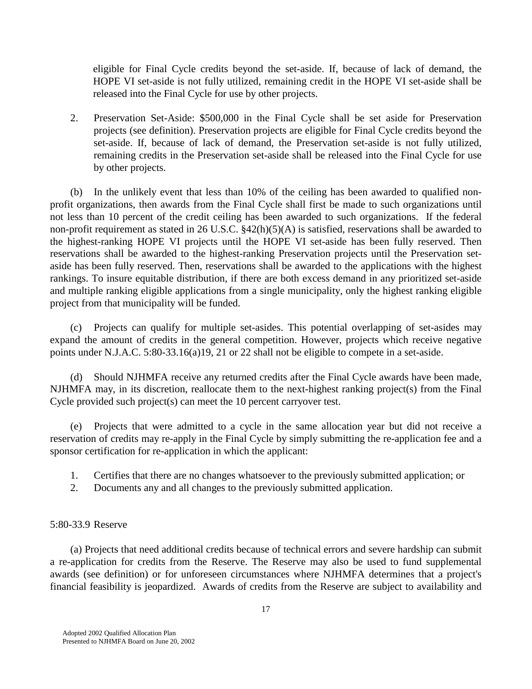eligible for Final Cycle credits beyond the set-aside. If, because of lack of demand, the HOPE VI set-aside is not fully utilized, remaining credit in the HOPE VI set-aside shall be released into the Final Cycle for use by other projects.

 2. Preservation Set-Aside: \$500,000 in the Final Cycle shall be set aside for Preservation projects (see definition). Preservation projects are eligible for Final Cycle credits beyond the set-aside. If, because of lack of demand, the Preservation set-aside is not fully utilized, remaining credits in the Preservation set-aside shall be released into the Final Cycle for use by other projects.

 (b) In the unlikely event that less than 10% of the ceiling has been awarded to qualified nonprofit organizations, then awards from the Final Cycle shall first be made to such organizations until not less than 10 percent of the credit ceiling has been awarded to such organizations. If the federal non-profit requirement as stated in 26 U.S.C. §42(h)(5)(A) is satisfied, reservations shall be awarded to the highest-ranking HOPE VI projects until the HOPE VI set-aside has been fully reserved. Then reservations shall be awarded to the highest-ranking Preservation projects until the Preservation setaside has been fully reserved. Then, reservations shall be awarded to the applications with the highest rankings. To insure equitable distribution, if there are both excess demand in any prioritized set-aside and multiple ranking eligible applications from a single municipality, only the highest ranking eligible project from that municipality will be funded.

 (c) Projects can qualify for multiple set-asides. This potential overlapping of set-asides may expand the amount of credits in the general competition. However, projects which receive negative points under N.J.A.C. 5:80-33.16(a)19, 21 or 22 shall not be eligible to compete in a set-aside.

 (d) Should NJHMFA receive any returned credits after the Final Cycle awards have been made, NJHMFA may, in its discretion, reallocate them to the next-highest ranking project(s) from the Final Cycle provided such project(s) can meet the 10 percent carryover test.

 (e) Projects that were admitted to a cycle in the same allocation year but did not receive a reservation of credits may re-apply in the Final Cycle by simply submitting the re-application fee and a sponsor certification for re-application in which the applicant:

- 1. Certifies that there are no changes whatsoever to the previously submitted application; or
- 2. Documents any and all changes to the previously submitted application.

### 5:80-33.9 Reserve

 (a) Projects that need additional credits because of technical errors and severe hardship can submit a re-application for credits from the Reserve. The Reserve may also be used to fund supplemental awards (see definition) or for unforeseen circumstances where NJHMFA determines that a project's financial feasibility is jeopardized. Awards of credits from the Reserve are subject to availability and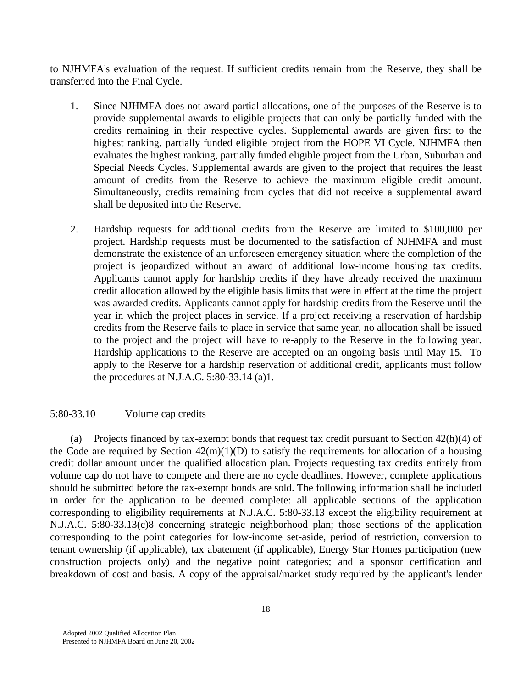to NJHMFA's evaluation of the request. If sufficient credits remain from the Reserve, they shall be transferred into the Final Cycle.

- 1. Since NJHMFA does not award partial allocations, one of the purposes of the Reserve is to provide supplemental awards to eligible projects that can only be partially funded with the credits remaining in their respective cycles. Supplemental awards are given first to the highest ranking, partially funded eligible project from the HOPE VI Cycle. NJHMFA then evaluates the highest ranking, partially funded eligible project from the Urban, Suburban and Special Needs Cycles. Supplemental awards are given to the project that requires the least amount of credits from the Reserve to achieve the maximum eligible credit amount. Simultaneously, credits remaining from cycles that did not receive a supplemental award shall be deposited into the Reserve.
- 2. Hardship requests for additional credits from the Reserve are limited to \$100,000 per project. Hardship requests must be documented to the satisfaction of NJHMFA and must demonstrate the existence of an unforeseen emergency situation where the completion of the project is jeopardized without an award of additional low-income housing tax credits. Applicants cannot apply for hardship credits if they have already received the maximum credit allocation allowed by the eligible basis limits that were in effect at the time the project was awarded credits. Applicants cannot apply for hardship credits from the Reserve until the year in which the project places in service. If a project receiving a reservation of hardship credits from the Reserve fails to place in service that same year, no allocation shall be issued to the project and the project will have to re-apply to the Reserve in the following year. Hardship applications to the Reserve are accepted on an ongoing basis until May 15. To apply to the Reserve for a hardship reservation of additional credit, applicants must follow the procedures at N.J.A.C. 5:80-33.14 (a)1.

### 5:80-33.10 Volume cap credits

 (a) Projects financed by tax-exempt bonds that request tax credit pursuant to Section 42(h)(4) of the Code are required by Section  $42(m)(1)(D)$  to satisfy the requirements for allocation of a housing credit dollar amount under the qualified allocation plan. Projects requesting tax credits entirely from volume cap do not have to compete and there are no cycle deadlines. However, complete applications should be submitted before the tax-exempt bonds are sold. The following information shall be included in order for the application to be deemed complete: all applicable sections of the application corresponding to eligibility requirements at N.J.A.C. 5:80-33.13 except the eligibility requirement at N.J.A.C. 5:80-33.13(c)8 concerning strategic neighborhood plan; those sections of the application corresponding to the point categories for low-income set-aside, period of restriction, conversion to tenant ownership (if applicable), tax abatement (if applicable), Energy Star Homes participation (new construction projects only) and the negative point categories; and a sponsor certification and breakdown of cost and basis. A copy of the appraisal/market study required by the applicant's lender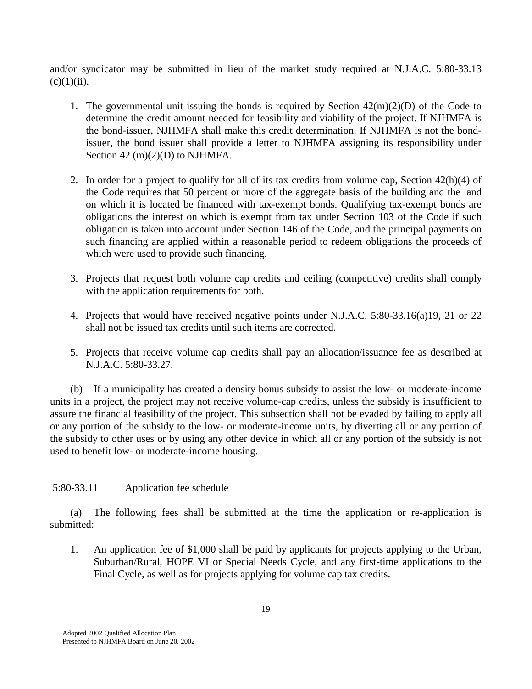and/or syndicator may be submitted in lieu of the market study required at N.J.A.C. 5:80-33.13  $(c)(1)(ii)$ .

- 1. The governmental unit issuing the bonds is required by Section  $42(m)(2)(D)$  of the Code to determine the credit amount needed for feasibility and viability of the project. If NJHMFA is the bond-issuer, NJHMFA shall make this credit determination. If NJHMFA is not the bondissuer, the bond issuer shall provide a letter to NJHMFA assigning its responsibility under Section 42 (m)(2)(D) to NJHMFA.
- 2. In order for a project to qualify for all of its tax credits from volume cap, Section 42(h)(4) of the Code requires that 50 percent or more of the aggregate basis of the building and the land on which it is located be financed with tax-exempt bonds. Qualifying tax-exempt bonds are obligations the interest on which is exempt from tax under Section 103 of the Code if such obligation is taken into account under Section 146 of the Code, and the principal payments on such financing are applied within a reasonable period to redeem obligations the proceeds of which were used to provide such financing.
- 3. Projects that request both volume cap credits and ceiling (competitive) credits shall comply with the application requirements for both.
- 4. Projects that would have received negative points under N.J.A.C. 5:80-33.16(a)19, 21 or 22 shall not be issued tax credits until such items are corrected.
- 5. Projects that receive volume cap credits shall pay an allocation/issuance fee as described at N.J.A.C. 5:80-33.27.

 (b) If a municipality has created a density bonus subsidy to assist the low- or moderate-income units in a project, the project may not receive volume-cap credits, unless the subsidy is insufficient to assure the financial feasibility of the project. This subsection shall not be evaded by failing to apply all or any portion of the subsidy to the low- or moderate-income units, by diverting all or any portion of the subsidy to other uses or by using any other device in which all or any portion of the subsidy is not used to benefit low- or moderate-income housing.

# 5:80-33.11 Application fee schedule

 (a) The following fees shall be submitted at the time the application or re-application is submitted:

1. An application fee of \$1,000 shall be paid by applicants for projects applying to the Urban, Suburban/Rural, HOPE VI or Special Needs Cycle, and any first-time applications to the Final Cycle, as well as for projects applying for volume cap tax credits.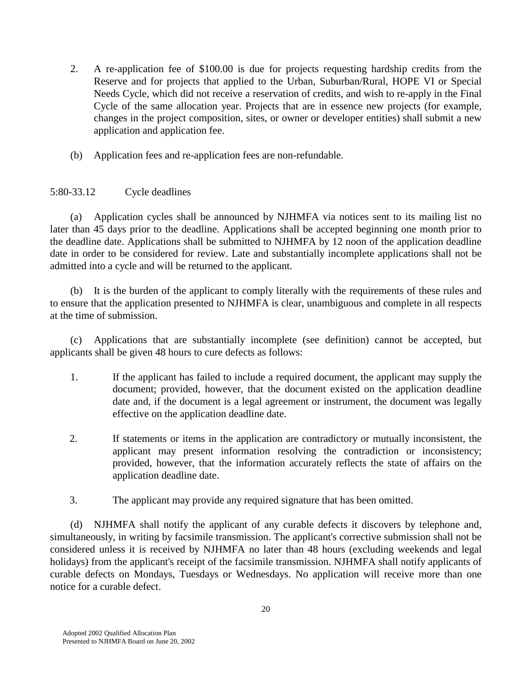- 2. A re-application fee of \$100.00 is due for projects requesting hardship credits from the Reserve and for projects that applied to the Urban, Suburban/Rural, HOPE VI or Special Needs Cycle, which did not receive a reservation of credits, and wish to re-apply in the Final Cycle of the same allocation year. Projects that are in essence new projects (for example, changes in the project composition, sites, or owner or developer entities) shall submit a new application and application fee.
- (b) Application fees and re-application fees are non-refundable.

# 5:80-33.12 Cycle deadlines

 (a) Application cycles shall be announced by NJHMFA via notices sent to its mailing list no later than 45 days prior to the deadline. Applications shall be accepted beginning one month prior to the deadline date. Applications shall be submitted to NJHMFA by 12 noon of the application deadline date in order to be considered for review. Late and substantially incomplete applications shall not be admitted into a cycle and will be returned to the applicant.

It is the burden of the applicant to comply literally with the requirements of these rules and to ensure that the application presented to NJHMFA is clear, unambiguous and complete in all respects at the time of submission.

 (c) Applications that are substantially incomplete (see definition) cannot be accepted, but applicants shall be given 48 hours to cure defects as follows:

- 1. If the applicant has failed to include a required document, the applicant may supply the document; provided, however, that the document existed on the application deadline date and, if the document is a legal agreement or instrument, the document was legally effective on the application deadline date.
- 2. If statements or items in the application are contradictory or mutually inconsistent, the applicant may present information resolving the contradiction or inconsistency; provided, however, that the information accurately reflects the state of affairs on the application deadline date.
- 3. The applicant may provide any required signature that has been omitted.

 (d) NJHMFA shall notify the applicant of any curable defects it discovers by telephone and, simultaneously, in writing by facsimile transmission. The applicant's corrective submission shall not be considered unless it is received by NJHMFA no later than 48 hours (excluding weekends and legal holidays) from the applicant's receipt of the facsimile transmission. NJHMFA shall notify applicants of curable defects on Mondays, Tuesdays or Wednesdays. No application will receive more than one notice for a curable defect.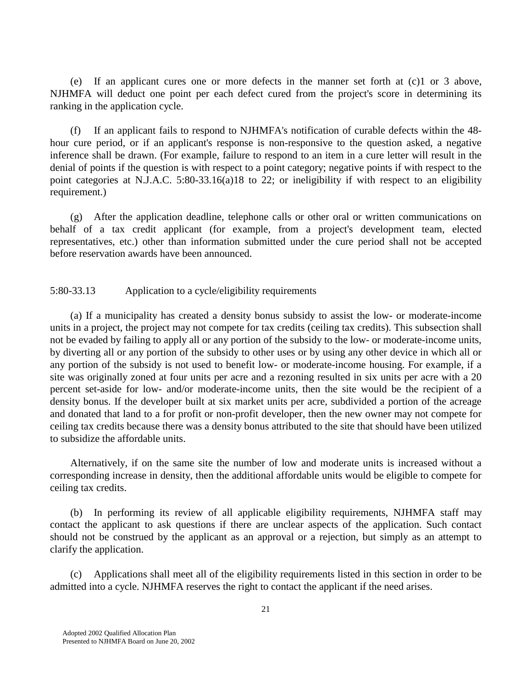(e) If an applicant cures one or more defects in the manner set forth at (c)1 or 3 above, NJHMFA will deduct one point per each defect cured from the project's score in determining its ranking in the application cycle.

 (f) If an applicant fails to respond to NJHMFA's notification of curable defects within the 48 hour cure period, or if an applicant's response is non-responsive to the question asked, a negative inference shall be drawn. (For example, failure to respond to an item in a cure letter will result in the denial of points if the question is with respect to a point category; negative points if with respect to the point categories at N.J.A.C. 5:80-33.16(a)18 to 22; or ineligibility if with respect to an eligibility requirement.)

 (g) After the application deadline, telephone calls or other oral or written communications on behalf of a tax credit applicant (for example, from a project's development team, elected representatives, etc.) other than information submitted under the cure period shall not be accepted before reservation awards have been announced.

5:80-33.13 Application to a cycle/eligibility requirements

 (a) If a municipality has created a density bonus subsidy to assist the low- or moderate-income units in a project, the project may not compete for tax credits (ceiling tax credits). This subsection shall not be evaded by failing to apply all or any portion of the subsidy to the low- or moderate-income units, by diverting all or any portion of the subsidy to other uses or by using any other device in which all or any portion of the subsidy is not used to benefit low- or moderate-income housing. For example, if a site was originally zoned at four units per acre and a rezoning resulted in six units per acre with a 20 percent set-aside for low- and/or moderate-income units, then the site would be the recipient of a density bonus. If the developer built at six market units per acre, subdivided a portion of the acreage and donated that land to a for profit or non-profit developer, then the new owner may not compete for ceiling tax credits because there was a density bonus attributed to the site that should have been utilized to subsidize the affordable units.

 Alternatively, if on the same site the number of low and moderate units is increased without a corresponding increase in density, then the additional affordable units would be eligible to compete for ceiling tax credits.

 (b) In performing its review of all applicable eligibility requirements, NJHMFA staff may contact the applicant to ask questions if there are unclear aspects of the application. Such contact should not be construed by the applicant as an approval or a rejection, but simply as an attempt to clarify the application.

 (c) Applications shall meet all of the eligibility requirements listed in this section in order to be admitted into a cycle. NJHMFA reserves the right to contact the applicant if the need arises.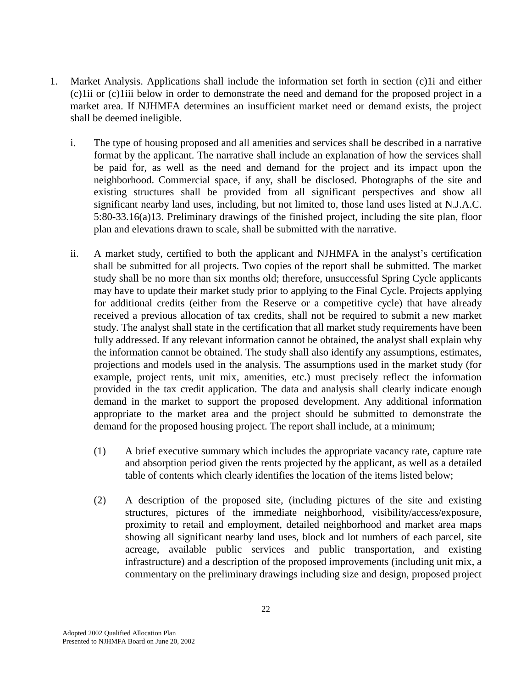- 1. Market Analysis. Applications shall include the information set forth in section (c)1i and either (c)1ii or (c)1iii below in order to demonstrate the need and demand for the proposed project in a market area. If NJHMFA determines an insufficient market need or demand exists, the project shall be deemed ineligible.
	- i. The type of housing proposed and all amenities and services shall be described in a narrative format by the applicant. The narrative shall include an explanation of how the services shall be paid for, as well as the need and demand for the project and its impact upon the neighborhood. Commercial space, if any, shall be disclosed. Photographs of the site and existing structures shall be provided from all significant perspectives and show all significant nearby land uses, including, but not limited to, those land uses listed at N.J.A.C. 5:80-33.16(a)13. Preliminary drawings of the finished project, including the site plan, floor plan and elevations drawn to scale, shall be submitted with the narrative.
	- ii. A market study, certified to both the applicant and NJHMFA in the analyst's certification shall be submitted for all projects. Two copies of the report shall be submitted. The market study shall be no more than six months old; therefore, unsuccessful Spring Cycle applicants may have to update their market study prior to applying to the Final Cycle. Projects applying for additional credits (either from the Reserve or a competitive cycle) that have already received a previous allocation of tax credits, shall not be required to submit a new market study. The analyst shall state in the certification that all market study requirements have been fully addressed. If any relevant information cannot be obtained, the analyst shall explain why the information cannot be obtained. The study shall also identify any assumptions, estimates, projections and models used in the analysis. The assumptions used in the market study (for example, project rents, unit mix, amenities, etc.) must precisely reflect the information provided in the tax credit application. The data and analysis shall clearly indicate enough demand in the market to support the proposed development. Any additional information appropriate to the market area and the project should be submitted to demonstrate the demand for the proposed housing project. The report shall include, at a minimum;
		- (1) A brief executive summary which includes the appropriate vacancy rate, capture rate and absorption period given the rents projected by the applicant, as well as a detailed table of contents which clearly identifies the location of the items listed below;
		- (2) A description of the proposed site, (including pictures of the site and existing structures, pictures of the immediate neighborhood, visibility/access/exposure, proximity to retail and employment, detailed neighborhood and market area maps showing all significant nearby land uses, block and lot numbers of each parcel, site acreage, available public services and public transportation, and existing infrastructure) and a description of the proposed improvements (including unit mix, a commentary on the preliminary drawings including size and design, proposed project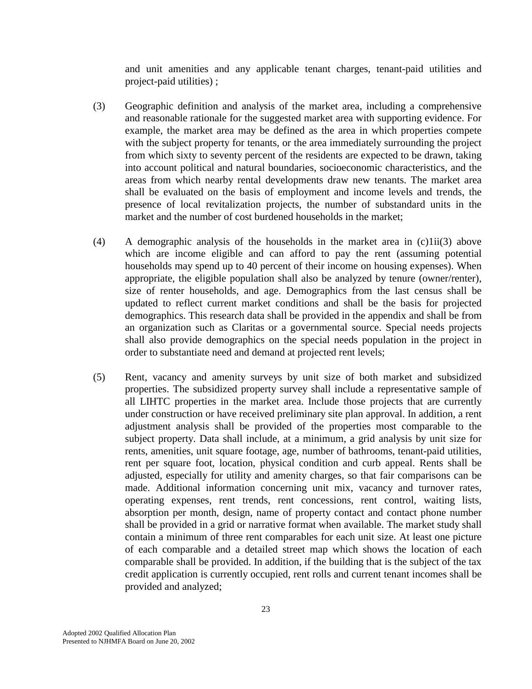and unit amenities and any applicable tenant charges, tenant-paid utilities and project-paid utilities) ;

- (3) Geographic definition and analysis of the market area, including a comprehensive and reasonable rationale for the suggested market area with supporting evidence. For example, the market area may be defined as the area in which properties compete with the subject property for tenants, or the area immediately surrounding the project from which sixty to seventy percent of the residents are expected to be drawn, taking into account political and natural boundaries, socioeconomic characteristics, and the areas from which nearby rental developments draw new tenants. The market area shall be evaluated on the basis of employment and income levels and trends, the presence of local revitalization projects, the number of substandard units in the market and the number of cost burdened households in the market;
- (4) A demographic analysis of the households in the market area in (c)1ii(3) above which are income eligible and can afford to pay the rent (assuming potential households may spend up to 40 percent of their income on housing expenses). When appropriate, the eligible population shall also be analyzed by tenure (owner/renter), size of renter households, and age. Demographics from the last census shall be updated to reflect current market conditions and shall be the basis for projected demographics. This research data shall be provided in the appendix and shall be from an organization such as Claritas or a governmental source. Special needs projects shall also provide demographics on the special needs population in the project in order to substantiate need and demand at projected rent levels;
- (5) Rent, vacancy and amenity surveys by unit size of both market and subsidized properties. The subsidized property survey shall include a representative sample of all LIHTC properties in the market area. Include those projects that are currently under construction or have received preliminary site plan approval. In addition, a rent adjustment analysis shall be provided of the properties most comparable to the subject property. Data shall include, at a minimum, a grid analysis by unit size for rents, amenities, unit square footage, age, number of bathrooms, tenant-paid utilities, rent per square foot, location, physical condition and curb appeal. Rents shall be adjusted, especially for utility and amenity charges, so that fair comparisons can be made. Additional information concerning unit mix, vacancy and turnover rates, operating expenses, rent trends, rent concessions, rent control, waiting lists, absorption per month, design, name of property contact and contact phone number shall be provided in a grid or narrative format when available. The market study shall contain a minimum of three rent comparables for each unit size. At least one picture of each comparable and a detailed street map which shows the location of each comparable shall be provided. In addition, if the building that is the subject of the tax credit application is currently occupied, rent rolls and current tenant incomes shall be provided and analyzed;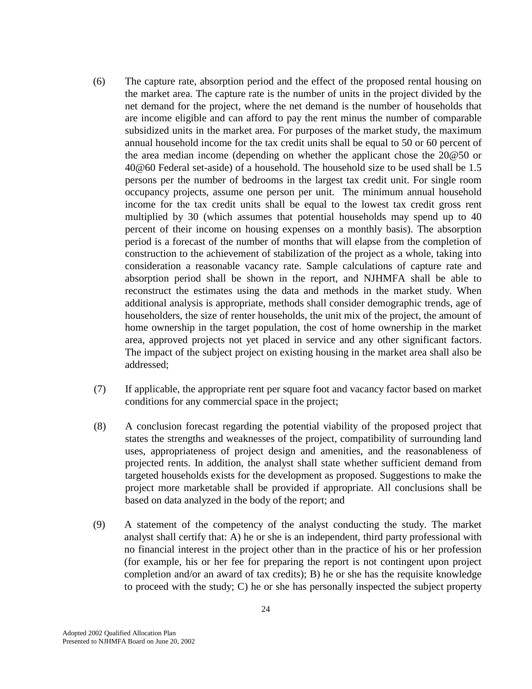- (6) The capture rate, absorption period and the effect of the proposed rental housing on the market area. The capture rate is the number of units in the project divided by the net demand for the project, where the net demand is the number of households that are income eligible and can afford to pay the rent minus the number of comparable subsidized units in the market area. For purposes of the market study, the maximum annual household income for the tax credit units shall be equal to 50 or 60 percent of the area median income (depending on whether the applicant chose the 20@50 or 40@60 Federal set-aside) of a household. The household size to be used shall be 1.5 persons per the number of bedrooms in the largest tax credit unit. For single room occupancy projects, assume one person per unit. The minimum annual household income for the tax credit units shall be equal to the lowest tax credit gross rent multiplied by 30 (which assumes that potential households may spend up to 40 percent of their income on housing expenses on a monthly basis). The absorption period is a forecast of the number of months that will elapse from the completion of construction to the achievement of stabilization of the project as a whole, taking into consideration a reasonable vacancy rate. Sample calculations of capture rate and absorption period shall be shown in the report, and NJHMFA shall be able to reconstruct the estimates using the data and methods in the market study. When additional analysis is appropriate, methods shall consider demographic trends, age of householders, the size of renter households, the unit mix of the project, the amount of home ownership in the target population, the cost of home ownership in the market area, approved projects not yet placed in service and any other significant factors. The impact of the subject project on existing housing in the market area shall also be addressed;
- (7) If applicable, the appropriate rent per square foot and vacancy factor based on market conditions for any commercial space in the project;
- (8) A conclusion forecast regarding the potential viability of the proposed project that states the strengths and weaknesses of the project, compatibility of surrounding land uses, appropriateness of project design and amenities, and the reasonableness of projected rents. In addition, the analyst shall state whether sufficient demand from targeted households exists for the development as proposed. Suggestions to make the project more marketable shall be provided if appropriate. All conclusions shall be based on data analyzed in the body of the report; and
- (9) A statement of the competency of the analyst conducting the study. The market analyst shall certify that: A) he or she is an independent, third party professional with no financial interest in the project other than in the practice of his or her profession (for example, his or her fee for preparing the report is not contingent upon project completion and/or an award of tax credits); B) he or she has the requisite knowledge to proceed with the study; C) he or she has personally inspected the subject property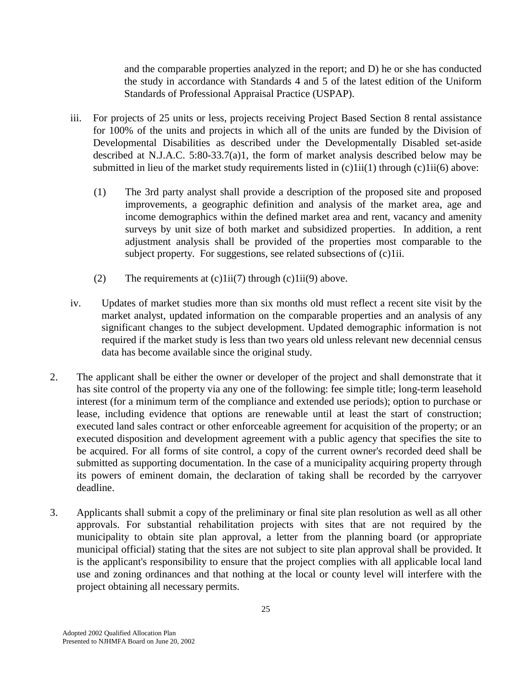and the comparable properties analyzed in the report; and D) he or she has conducted the study in accordance with Standards 4 and 5 of the latest edition of the Uniform Standards of Professional Appraisal Practice (USPAP).

- iii. For projects of 25 units or less, projects receiving Project Based Section 8 rental assistance for 100% of the units and projects in which all of the units are funded by the Division of Developmental Disabilities as described under the Developmentally Disabled set-aside described at N.J.A.C. 5:80-33.7(a)1, the form of market analysis described below may be submitted in lieu of the market study requirements listed in (c)1ii(1) through (c)1ii(6) above:
	- (1) The 3rd party analyst shall provide a description of the proposed site and proposed improvements, a geographic definition and analysis of the market area, age and income demographics within the defined market area and rent, vacancy and amenity surveys by unit size of both market and subsidized properties. In addition, a rent adjustment analysis shall be provided of the properties most comparable to the subject property. For suggestions, see related subsections of (c)1ii.
	- (2) The requirements at  $(c)1ii(7)$  through  $(c)1ii(9)$  above.
- iv. Updates of market studies more than six months old must reflect a recent site visit by the market analyst, updated information on the comparable properties and an analysis of any significant changes to the subject development. Updated demographic information is not required if the market study is less than two years old unless relevant new decennial census data has become available since the original study.
- 2. The applicant shall be either the owner or developer of the project and shall demonstrate that it has site control of the property via any one of the following: fee simple title; long-term leasehold interest (for a minimum term of the compliance and extended use periods); option to purchase or lease, including evidence that options are renewable until at least the start of construction; executed land sales contract or other enforceable agreement for acquisition of the property; or an executed disposition and development agreement with a public agency that specifies the site to be acquired. For all forms of site control, a copy of the current owner's recorded deed shall be submitted as supporting documentation. In the case of a municipality acquiring property through its powers of eminent domain, the declaration of taking shall be recorded by the carryover deadline.
- 3. Applicants shall submit a copy of the preliminary or final site plan resolution as well as all other approvals. For substantial rehabilitation projects with sites that are not required by the municipality to obtain site plan approval, a letter from the planning board (or appropriate municipal official) stating that the sites are not subject to site plan approval shall be provided. It is the applicant's responsibility to ensure that the project complies with all applicable local land use and zoning ordinances and that nothing at the local or county level will interfere with the project obtaining all necessary permits.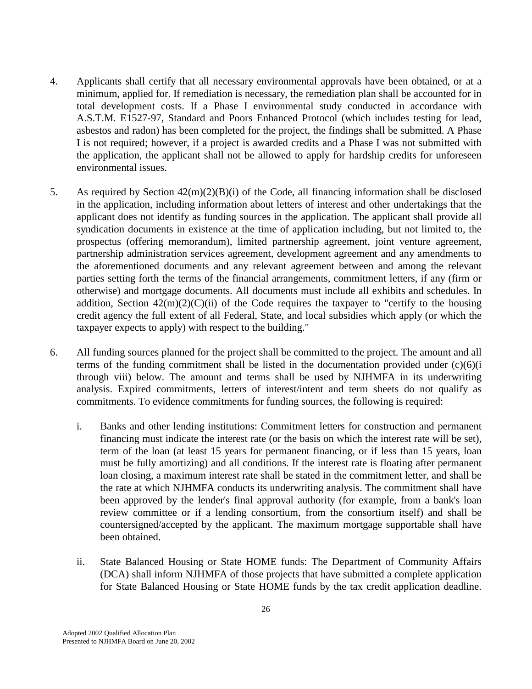- 4. Applicants shall certify that all necessary environmental approvals have been obtained, or at a minimum, applied for. If remediation is necessary, the remediation plan shall be accounted for in total development costs. If a Phase I environmental study conducted in accordance with A.S.T.M. E1527-97, Standard and Poors Enhanced Protocol (which includes testing for lead, asbestos and radon) has been completed for the project, the findings shall be submitted. A Phase I is not required; however, if a project is awarded credits and a Phase I was not submitted with the application, the applicant shall not be allowed to apply for hardship credits for unforeseen environmental issues.
- 5. As required by Section 42(m)(2)(B)(i) of the Code, all financing information shall be disclosed in the application, including information about letters of interest and other undertakings that the applicant does not identify as funding sources in the application. The applicant shall provide all syndication documents in existence at the time of application including, but not limited to, the prospectus (offering memorandum), limited partnership agreement, joint venture agreement, partnership administration services agreement, development agreement and any amendments to the aforementioned documents and any relevant agreement between and among the relevant parties setting forth the terms of the financial arrangements, commitment letters, if any (firm or otherwise) and mortgage documents. All documents must include all exhibits and schedules. In addition, Section  $42(m)(2)(C)(ii)$  of the Code requires the taxpayer to "certify to the housing credit agency the full extent of all Federal, State, and local subsidies which apply (or which the taxpayer expects to apply) with respect to the building."
- 6. All funding sources planned for the project shall be committed to the project. The amount and all terms of the funding commitment shall be listed in the documentation provided under  $(c)(6)(i)$ through viii) below. The amount and terms shall be used by NJHMFA in its underwriting analysis. Expired commitments, letters of interest/intent and term sheets do not qualify as commitments. To evidence commitments for funding sources, the following is required:
	- i. Banks and other lending institutions: Commitment letters for construction and permanent financing must indicate the interest rate (or the basis on which the interest rate will be set), term of the loan (at least 15 years for permanent financing, or if less than 15 years, loan must be fully amortizing) and all conditions. If the interest rate is floating after permanent loan closing, a maximum interest rate shall be stated in the commitment letter, and shall be the rate at which NJHMFA conducts its underwriting analysis. The commitment shall have been approved by the lender's final approval authority (for example, from a bank's loan review committee or if a lending consortium, from the consortium itself) and shall be countersigned/accepted by the applicant. The maximum mortgage supportable shall have been obtained.
	- ii. State Balanced Housing or State HOME funds: The Department of Community Affairs (DCA) shall inform NJHMFA of those projects that have submitted a complete application for State Balanced Housing or State HOME funds by the tax credit application deadline.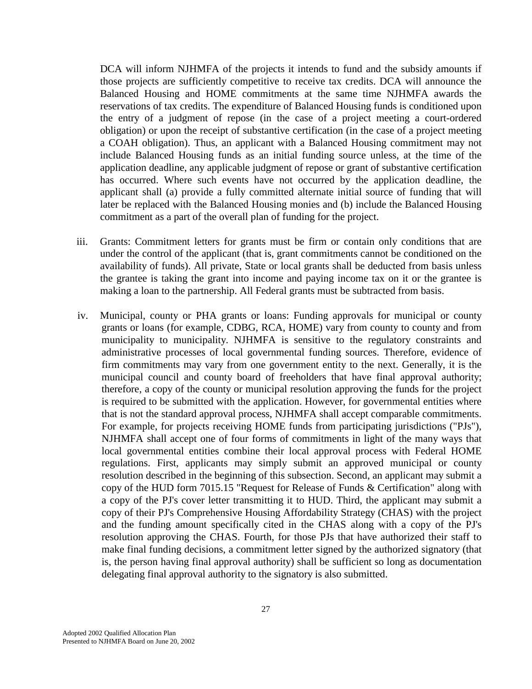DCA will inform NJHMFA of the projects it intends to fund and the subsidy amounts if those projects are sufficiently competitive to receive tax credits. DCA will announce the Balanced Housing and HOME commitments at the same time NJHMFA awards the reservations of tax credits. The expenditure of Balanced Housing funds is conditioned upon the entry of a judgment of repose (in the case of a project meeting a court-ordered obligation) or upon the receipt of substantive certification (in the case of a project meeting a COAH obligation). Thus, an applicant with a Balanced Housing commitment may not include Balanced Housing funds as an initial funding source unless, at the time of the application deadline, any applicable judgment of repose or grant of substantive certification has occurred. Where such events have not occurred by the application deadline, the applicant shall (a) provide a fully committed alternate initial source of funding that will later be replaced with the Balanced Housing monies and (b) include the Balanced Housing commitment as a part of the overall plan of funding for the project.

- iii. Grants: Commitment letters for grants must be firm or contain only conditions that are under the control of the applicant (that is, grant commitments cannot be conditioned on the availability of funds). All private, State or local grants shall be deducted from basis unless the grantee is taking the grant into income and paying income tax on it or the grantee is making a loan to the partnership. All Federal grants must be subtracted from basis.
- iv. Municipal, county or PHA grants or loans: Funding approvals for municipal or county grants or loans (for example, CDBG, RCA, HOME) vary from county to county and from municipality to municipality. NJHMFA is sensitive to the regulatory constraints and administrative processes of local governmental funding sources. Therefore, evidence of firm commitments may vary from one government entity to the next. Generally, it is the municipal council and county board of freeholders that have final approval authority; therefore, a copy of the county or municipal resolution approving the funds for the project is required to be submitted with the application. However, for governmental entities where that is not the standard approval process, NJHMFA shall accept comparable commitments. For example, for projects receiving HOME funds from participating jurisdictions ("PJs"), NJHMFA shall accept one of four forms of commitments in light of the many ways that local governmental entities combine their local approval process with Federal HOME regulations. First, applicants may simply submit an approved municipal or county resolution described in the beginning of this subsection. Second, an applicant may submit a copy of the HUD form 7015.15 "Request for Release of Funds & Certification" along with a copy of the PJ's cover letter transmitting it to HUD. Third, the applicant may submit a copy of their PJ's Comprehensive Housing Affordability Strategy (CHAS) with the project and the funding amount specifically cited in the CHAS along with a copy of the PJ's resolution approving the CHAS. Fourth, for those PJs that have authorized their staff to make final funding decisions, a commitment letter signed by the authorized signatory (that is, the person having final approval authority) shall be sufficient so long as documentation delegating final approval authority to the signatory is also submitted.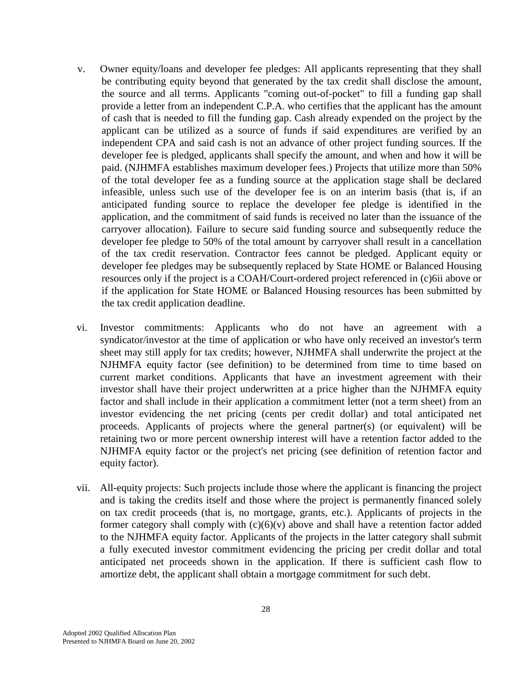- v. Owner equity/loans and developer fee pledges: All applicants representing that they shall be contributing equity beyond that generated by the tax credit shall disclose the amount, the source and all terms. Applicants "coming out-of-pocket" to fill a funding gap shall provide a letter from an independent C.P.A. who certifies that the applicant has the amount of cash that is needed to fill the funding gap. Cash already expended on the project by the applicant can be utilized as a source of funds if said expenditures are verified by an independent CPA and said cash is not an advance of other project funding sources. If the developer fee is pledged, applicants shall specify the amount, and when and how it will be paid. (NJHMFA establishes maximum developer fees.) Projects that utilize more than 50% of the total developer fee as a funding source at the application stage shall be declared infeasible, unless such use of the developer fee is on an interim basis (that is, if an anticipated funding source to replace the developer fee pledge is identified in the application, and the commitment of said funds is received no later than the issuance of the carryover allocation). Failure to secure said funding source and subsequently reduce the developer fee pledge to 50% of the total amount by carryover shall result in a cancellation of the tax credit reservation. Contractor fees cannot be pledged. Applicant equity or developer fee pledges may be subsequently replaced by State HOME or Balanced Housing resources only if the project is a COAH/Court-ordered project referenced in (c)6ii above or if the application for State HOME or Balanced Housing resources has been submitted by the tax credit application deadline.
- vi. Investor commitments: Applicants who do not have an agreement with a syndicator/investor at the time of application or who have only received an investor's term sheet may still apply for tax credits; however, NJHMFA shall underwrite the project at the NJHMFA equity factor (see definition) to be determined from time to time based on current market conditions. Applicants that have an investment agreement with their investor shall have their project underwritten at a price higher than the NJHMFA equity factor and shall include in their application a commitment letter (not a term sheet) from an investor evidencing the net pricing (cents per credit dollar) and total anticipated net proceeds. Applicants of projects where the general partner(s) (or equivalent) will be retaining two or more percent ownership interest will have a retention factor added to the NJHMFA equity factor or the project's net pricing (see definition of retention factor and equity factor).
- vii. All-equity projects: Such projects include those where the applicant is financing the project and is taking the credits itself and those where the project is permanently financed solely on tax credit proceeds (that is, no mortgage, grants, etc.). Applicants of projects in the former category shall comply with  $(c)(6)(v)$  above and shall have a retention factor added to the NJHMFA equity factor. Applicants of the projects in the latter category shall submit a fully executed investor commitment evidencing the pricing per credit dollar and total anticipated net proceeds shown in the application. If there is sufficient cash flow to amortize debt, the applicant shall obtain a mortgage commitment for such debt.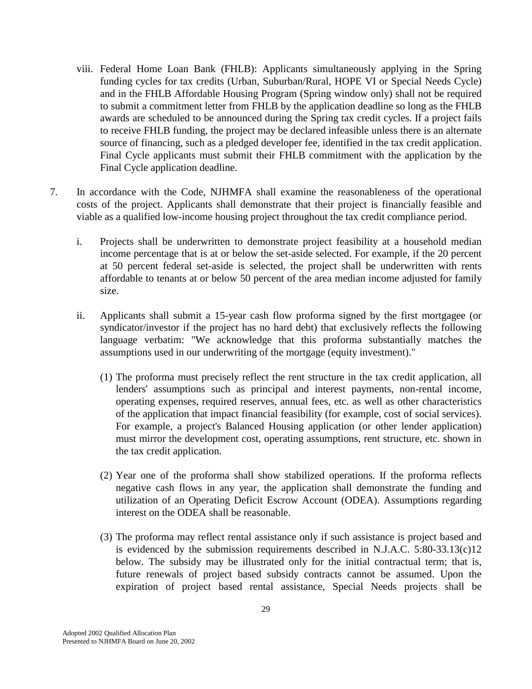- viii. Federal Home Loan Bank (FHLB): Applicants simultaneously applying in the Spring funding cycles for tax credits (Urban, Suburban/Rural, HOPE VI or Special Needs Cycle) and in the FHLB Affordable Housing Program (Spring window only) shall not be required to submit a commitment letter from FHLB by the application deadline so long as the FHLB awards are scheduled to be announced during the Spring tax credit cycles. If a project fails to receive FHLB funding, the project may be declared infeasible unless there is an alternate source of financing, such as a pledged developer fee, identified in the tax credit application. Final Cycle applicants must submit their FHLB commitment with the application by the Final Cycle application deadline.
- 7. In accordance with the Code, NJHMFA shall examine the reasonableness of the operational costs of the project. Applicants shall demonstrate that their project is financially feasible and viable as a qualified low-income housing project throughout the tax credit compliance period.
	- i. Projects shall be underwritten to demonstrate project feasibility at a household median income percentage that is at or below the set-aside selected. For example, if the 20 percent at 50 percent federal set-aside is selected, the project shall be underwritten with rents affordable to tenants at or below 50 percent of the area median income adjusted for family size.
	- ii. Applicants shall submit a 15-year cash flow proforma signed by the first mortgagee (or syndicator/investor if the project has no hard debt) that exclusively reflects the following language verbatim: "We acknowledge that this proforma substantially matches the assumptions used in our underwriting of the mortgage (equity investment)."
		- (1) The proforma must precisely reflect the rent structure in the tax credit application, all lenders' assumptions such as principal and interest payments, non-rental income, operating expenses, required reserves, annual fees, etc. as well as other characteristics of the application that impact financial feasibility (for example, cost of social services). For example, a project's Balanced Housing application (or other lender application) must mirror the development cost, operating assumptions, rent structure, etc. shown in the tax credit application.
		- (2) Year one of the proforma shall show stabilized operations. If the proforma reflects negative cash flows in any year, the application shall demonstrate the funding and utilization of an Operating Deficit Escrow Account (ODEA). Assumptions regarding interest on the ODEA shall be reasonable.
		- (3) The proforma may reflect rental assistance only if such assistance is project based and is evidenced by the submission requirements described in N.J.A.C. 5:80-33.13(c)12 below. The subsidy may be illustrated only for the initial contractual term; that is, future renewals of project based subsidy contracts cannot be assumed. Upon the expiration of project based rental assistance, Special Needs projects shall be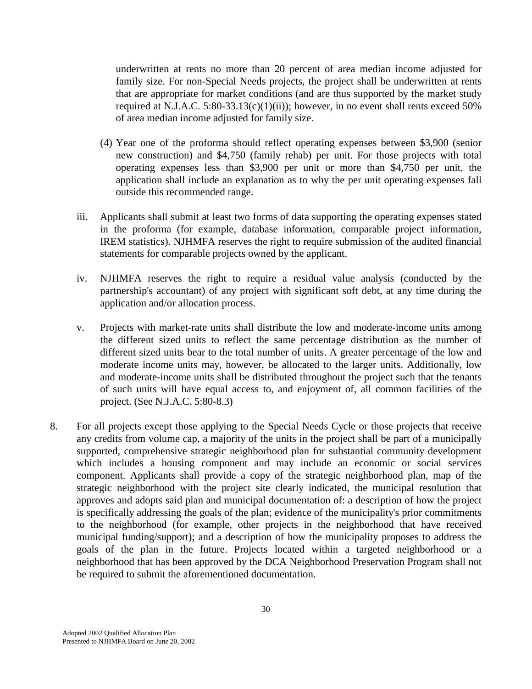underwritten at rents no more than 20 percent of area median income adjusted for family size. For non-Special Needs projects, the project shall be underwritten at rents that are appropriate for market conditions (and are thus supported by the market study required at N.J.A.C.  $5:80-33.13(c)(1)(ii)$ ; however, in no event shall rents exceed  $50\%$ of area median income adjusted for family size.

- (4) Year one of the proforma should reflect operating expenses between \$3,900 (senior new construction) and \$4,750 (family rehab) per unit. For those projects with total operating expenses less than \$3,900 per unit or more than \$4,750 per unit, the application shall include an explanation as to why the per unit operating expenses fall outside this recommended range.
- iii. Applicants shall submit at least two forms of data supporting the operating expenses stated in the proforma (for example, database information, comparable project information, IREM statistics). NJHMFA reserves the right to require submission of the audited financial statements for comparable projects owned by the applicant.
- iv. NJHMFA reserves the right to require a residual value analysis (conducted by the partnership's accountant) of any project with significant soft debt, at any time during the application and/or allocation process.
- v. Projects with market-rate units shall distribute the low and moderate-income units among the different sized units to reflect the same percentage distribution as the number of different sized units bear to the total number of units. A greater percentage of the low and moderate income units may, however, be allocated to the larger units. Additionally, low and moderate-income units shall be distributed throughout the project such that the tenants of such units will have equal access to, and enjoyment of, all common facilities of the project. (See N.J.A.C. 5:80-8.3)
- 8. For all projects except those applying to the Special Needs Cycle or those projects that receive any credits from volume cap, a majority of the units in the project shall be part of a municipally supported, comprehensive strategic neighborhood plan for substantial community development which includes a housing component and may include an economic or social services component. Applicants shall provide a copy of the strategic neighborhood plan, map of the strategic neighborhood with the project site clearly indicated, the municipal resolution that approves and adopts said plan and municipal documentation of: a description of how the project is specifically addressing the goals of the plan; evidence of the municipality's prior commitments to the neighborhood (for example, other projects in the neighborhood that have received municipal funding/support); and a description of how the municipality proposes to address the goals of the plan in the future. Projects located within a targeted neighborhood or a neighborhood that has been approved by the DCA Neighborhood Preservation Program shall not be required to submit the aforementioned documentation.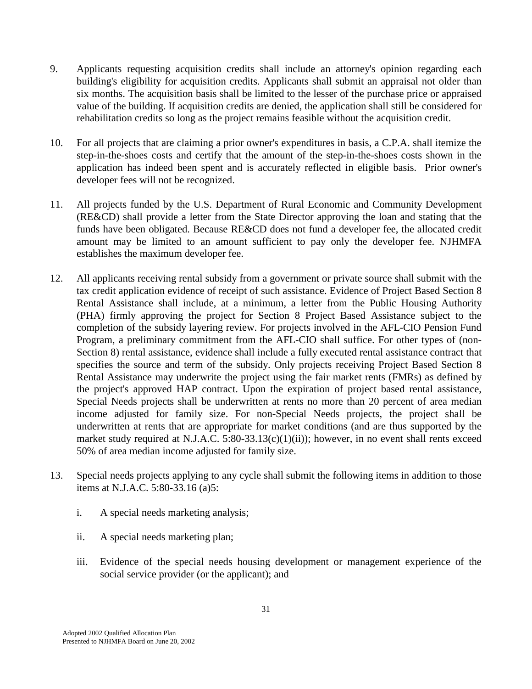- 9. Applicants requesting acquisition credits shall include an attorney's opinion regarding each building's eligibility for acquisition credits. Applicants shall submit an appraisal not older than six months. The acquisition basis shall be limited to the lesser of the purchase price or appraised value of the building. If acquisition credits are denied, the application shall still be considered for rehabilitation credits so long as the project remains feasible without the acquisition credit.
- 10. For all projects that are claiming a prior owner's expenditures in basis, a C.P.A. shall itemize the step-in-the-shoes costs and certify that the amount of the step-in-the-shoes costs shown in the application has indeed been spent and is accurately reflected in eligible basis. Prior owner's developer fees will not be recognized.
- 11. All projects funded by the U.S. Department of Rural Economic and Community Development (RE&CD) shall provide a letter from the State Director approving the loan and stating that the funds have been obligated. Because RE&CD does not fund a developer fee, the allocated credit amount may be limited to an amount sufficient to pay only the developer fee. NJHMFA establishes the maximum developer fee.
- 12. All applicants receiving rental subsidy from a government or private source shall submit with the tax credit application evidence of receipt of such assistance. Evidence of Project Based Section 8 Rental Assistance shall include, at a minimum, a letter from the Public Housing Authority (PHA) firmly approving the project for Section 8 Project Based Assistance subject to the completion of the subsidy layering review. For projects involved in the AFL-CIO Pension Fund Program, a preliminary commitment from the AFL-CIO shall suffice. For other types of (non-Section 8) rental assistance, evidence shall include a fully executed rental assistance contract that specifies the source and term of the subsidy. Only projects receiving Project Based Section 8 Rental Assistance may underwrite the project using the fair market rents (FMRs) as defined by the project's approved HAP contract. Upon the expiration of project based rental assistance, Special Needs projects shall be underwritten at rents no more than 20 percent of area median income adjusted for family size. For non-Special Needs projects, the project shall be underwritten at rents that are appropriate for market conditions (and are thus supported by the market study required at N.J.A.C. 5:80-33.13(c)(1)(ii)); however, in no event shall rents exceed 50% of area median income adjusted for family size.
- 13. Special needs projects applying to any cycle shall submit the following items in addition to those items at N.J.A.C. 5:80-33.16 (a)5:
	- i. A special needs marketing analysis;
	- ii. A special needs marketing plan;
	- iii. Evidence of the special needs housing development or management experience of the social service provider (or the applicant); and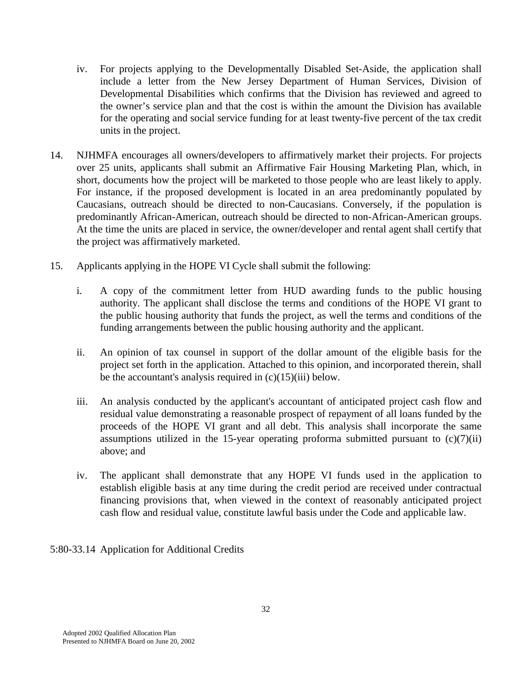- iv. For projects applying to the Developmentally Disabled Set-Aside, the application shall include a letter from the New Jersey Department of Human Services, Division of Developmental Disabilities which confirms that the Division has reviewed and agreed to the owner's service plan and that the cost is within the amount the Division has available for the operating and social service funding for at least twenty-five percent of the tax credit units in the project.
- 14. NJHMFA encourages all owners/developers to affirmatively market their projects. For projects over 25 units, applicants shall submit an Affirmative Fair Housing Marketing Plan, which, in short, documents how the project will be marketed to those people who are least likely to apply. For instance, if the proposed development is located in an area predominantly populated by Caucasians, outreach should be directed to non-Caucasians. Conversely, if the population is predominantly African-American, outreach should be directed to non-African-American groups. At the time the units are placed in service, the owner/developer and rental agent shall certify that the project was affirmatively marketed.
- 15. Applicants applying in the HOPE VI Cycle shall submit the following:
	- i. A copy of the commitment letter from HUD awarding funds to the public housing authority. The applicant shall disclose the terms and conditions of the HOPE VI grant to the public housing authority that funds the project, as well the terms and conditions of the funding arrangements between the public housing authority and the applicant.
	- ii. An opinion of tax counsel in support of the dollar amount of the eligible basis for the project set forth in the application. Attached to this opinion, and incorporated therein, shall be the accountant's analysis required in  $(c)(15)(iii)$  below.
	- iii. An analysis conducted by the applicant's accountant of anticipated project cash flow and residual value demonstrating a reasonable prospect of repayment of all loans funded by the proceeds of the HOPE VI grant and all debt. This analysis shall incorporate the same assumptions utilized in the 15-year operating proforma submitted pursuant to  $(c)(7)(ii)$ above; and
	- iv. The applicant shall demonstrate that any HOPE VI funds used in the application to establish eligible basis at any time during the credit period are received under contractual financing provisions that, when viewed in the context of reasonably anticipated project cash flow and residual value, constitute lawful basis under the Code and applicable law.

# 5:80-33.14 Application for Additional Credits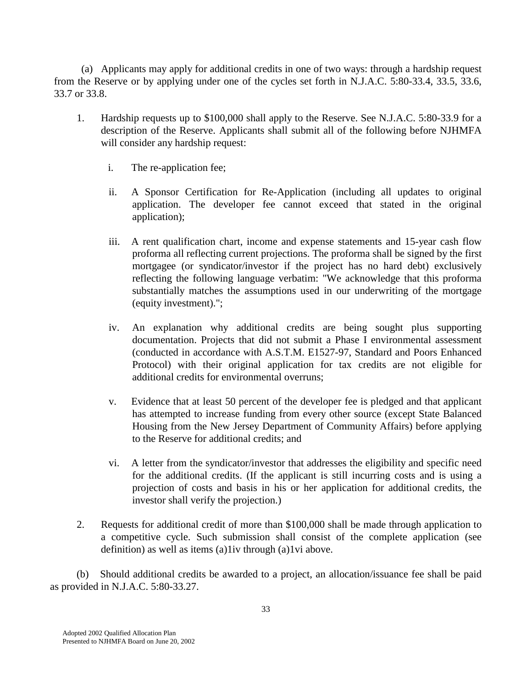(a) Applicants may apply for additional credits in one of two ways: through a hardship request from the Reserve or by applying under one of the cycles set forth in N.J.A.C. 5:80-33.4, 33.5, 33.6, 33.7 or 33.8.

- 1. Hardship requests up to \$100,000 shall apply to the Reserve. See N.J.A.C. 5:80-33.9 for a description of the Reserve. Applicants shall submit all of the following before NJHMFA will consider any hardship request:
	- i. The re-application fee;
	- ii. A Sponsor Certification for Re-Application (including all updates to original application. The developer fee cannot exceed that stated in the original application);
	- iii. A rent qualification chart, income and expense statements and 15-year cash flow proforma all reflecting current projections. The proforma shall be signed by the first mortgagee (or syndicator/investor if the project has no hard debt) exclusively reflecting the following language verbatim: "We acknowledge that this proforma substantially matches the assumptions used in our underwriting of the mortgage (equity investment).";
	- iv. An explanation why additional credits are being sought plus supporting documentation. Projects that did not submit a Phase I environmental assessment (conducted in accordance with A.S.T.M. E1527-97, Standard and Poors Enhanced Protocol) with their original application for tax credits are not eligible for additional credits for environmental overruns;
	- v. Evidence that at least 50 percent of the developer fee is pledged and that applicant has attempted to increase funding from every other source (except State Balanced Housing from the New Jersey Department of Community Affairs) before applying to the Reserve for additional credits; and
	- vi. A letter from the syndicator/investor that addresses the eligibility and specific need for the additional credits. (If the applicant is still incurring costs and is using a projection of costs and basis in his or her application for additional credits, the investor shall verify the projection.)
- 2. Requests for additional credit of more than \$100,000 shall be made through application to a competitive cycle. Such submission shall consist of the complete application (see definition) as well as items (a)1iv through (a)1vi above.

 (b) Should additional credits be awarded to a project, an allocation/issuance fee shall be paid as provided in N.J.A.C. 5:80-33.27.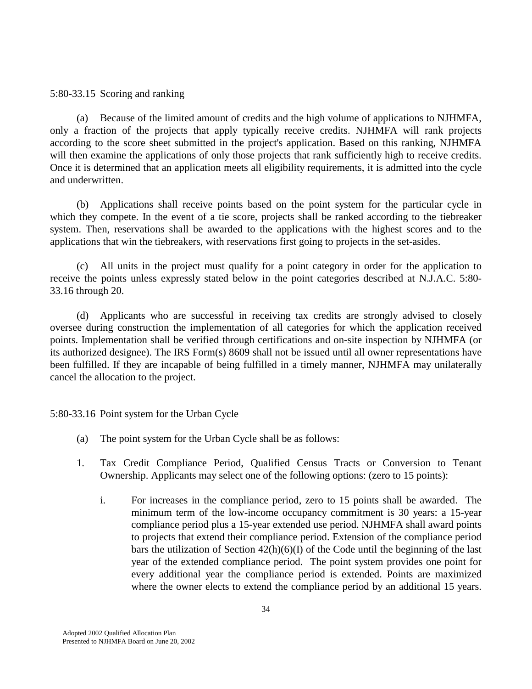#### 5:80-33.15 Scoring and ranking

 (a) Because of the limited amount of credits and the high volume of applications to NJHMFA, only a fraction of the projects that apply typically receive credits. NJHMFA will rank projects according to the score sheet submitted in the project's application. Based on this ranking, NJHMFA will then examine the applications of only those projects that rank sufficiently high to receive credits. Once it is determined that an application meets all eligibility requirements, it is admitted into the cycle and underwritten.

 (b) Applications shall receive points based on the point system for the particular cycle in which they compete. In the event of a tie score, projects shall be ranked according to the tiebreaker system. Then, reservations shall be awarded to the applications with the highest scores and to the applications that win the tiebreakers, with reservations first going to projects in the set-asides.

 (c) All units in the project must qualify for a point category in order for the application to receive the points unless expressly stated below in the point categories described at N.J.A.C. 5:80- 33.16 through 20.

 (d) Applicants who are successful in receiving tax credits are strongly advised to closely oversee during construction the implementation of all categories for which the application received points. Implementation shall be verified through certifications and on-site inspection by NJHMFA (or its authorized designee). The IRS Form(s) 8609 shall not be issued until all owner representations have been fulfilled. If they are incapable of being fulfilled in a timely manner, NJHMFA may unilaterally cancel the allocation to the project.

5:80-33.16 Point system for the Urban Cycle

- (a) The point system for the Urban Cycle shall be as follows:
- 1. Tax Credit Compliance Period, Qualified Census Tracts or Conversion to Tenant Ownership. Applicants may select one of the following options: (zero to 15 points):
	- i. For increases in the compliance period, zero to 15 points shall be awarded. The minimum term of the low-income occupancy commitment is 30 years: a 15-year compliance period plus a 15-year extended use period. NJHMFA shall award points to projects that extend their compliance period. Extension of the compliance period bars the utilization of Section 42(h)(6)(I) of the Code until the beginning of the last year of the extended compliance period. The point system provides one point for every additional year the compliance period is extended. Points are maximized where the owner elects to extend the compliance period by an additional 15 years.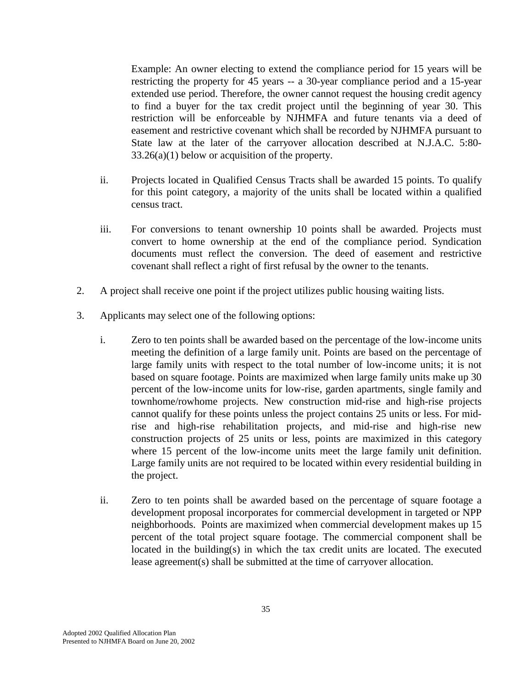Example: An owner electing to extend the compliance period for 15 years will be restricting the property for 45 years -- a 30-year compliance period and a 15-year extended use period. Therefore, the owner cannot request the housing credit agency to find a buyer for the tax credit project until the beginning of year 30. This restriction will be enforceable by NJHMFA and future tenants via a deed of easement and restrictive covenant which shall be recorded by NJHMFA pursuant to State law at the later of the carryover allocation described at N.J.A.C. 5:80-  $33.26(a)(1)$  below or acquisition of the property.

- ii. Projects located in Qualified Census Tracts shall be awarded 15 points. To qualify for this point category, a majority of the units shall be located within a qualified census tract.
- iii. For conversions to tenant ownership 10 points shall be awarded. Projects must convert to home ownership at the end of the compliance period. Syndication documents must reflect the conversion. The deed of easement and restrictive covenant shall reflect a right of first refusal by the owner to the tenants.
- 2. A project shall receive one point if the project utilizes public housing waiting lists.
- 3. Applicants may select one of the following options:
	- i. Zero to ten points shall be awarded based on the percentage of the low-income units meeting the definition of a large family unit. Points are based on the percentage of large family units with respect to the total number of low-income units; it is not based on square footage. Points are maximized when large family units make up 30 percent of the low-income units for low-rise, garden apartments, single family and townhome/rowhome projects. New construction mid-rise and high-rise projects cannot qualify for these points unless the project contains 25 units or less. For midrise and high-rise rehabilitation projects, and mid-rise and high-rise new construction projects of 25 units or less, points are maximized in this category where 15 percent of the low-income units meet the large family unit definition. Large family units are not required to be located within every residential building in the project.
	- ii. Zero to ten points shall be awarded based on the percentage of square footage a development proposal incorporates for commercial development in targeted or NPP neighborhoods. Points are maximized when commercial development makes up 15 percent of the total project square footage. The commercial component shall be located in the building(s) in which the tax credit units are located. The executed lease agreement(s) shall be submitted at the time of carryover allocation.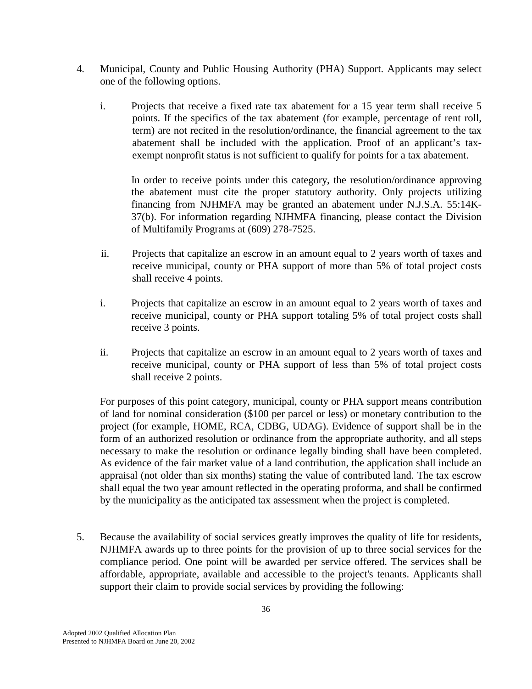- 4. Municipal, County and Public Housing Authority (PHA) Support. Applicants may select one of the following options.
	- i. Projects that receive a fixed rate tax abatement for a 15 year term shall receive 5 points. If the specifics of the tax abatement (for example, percentage of rent roll, term) are not recited in the resolution/ordinance, the financial agreement to the tax abatement shall be included with the application. Proof of an applicant's taxexempt nonprofit status is not sufficient to qualify for points for a tax abatement.

In order to receive points under this category, the resolution/ordinance approving the abatement must cite the proper statutory authority. Only projects utilizing financing from NJHMFA may be granted an abatement under N.J.S.A. 55:14K-37(b). For information regarding NJHMFA financing, please contact the Division of Multifamily Programs at (609) 278-7525.

- ii. Projects that capitalize an escrow in an amount equal to 2 years worth of taxes and receive municipal, county or PHA support of more than 5% of total project costs shall receive 4 points.
- i. Projects that capitalize an escrow in an amount equal to 2 years worth of taxes and receive municipal, county or PHA support totaling 5% of total project costs shall receive 3 points.
- ii. Projects that capitalize an escrow in an amount equal to 2 years worth of taxes and receive municipal, county or PHA support of less than 5% of total project costs shall receive 2 points.

 For purposes of this point category, municipal, county or PHA support means contribution of land for nominal consideration (\$100 per parcel or less) or monetary contribution to the project (for example, HOME, RCA, CDBG, UDAG). Evidence of support shall be in the form of an authorized resolution or ordinance from the appropriate authority, and all steps necessary to make the resolution or ordinance legally binding shall have been completed. As evidence of the fair market value of a land contribution, the application shall include an appraisal (not older than six months) stating the value of contributed land. The tax escrow shall equal the two year amount reflected in the operating proforma, and shall be confirmed by the municipality as the anticipated tax assessment when the project is completed.

 5. Because the availability of social services greatly improves the quality of life for residents, NJHMFA awards up to three points for the provision of up to three social services for the compliance period. One point will be awarded per service offered. The services shall be affordable, appropriate, available and accessible to the project's tenants. Applicants shall support their claim to provide social services by providing the following: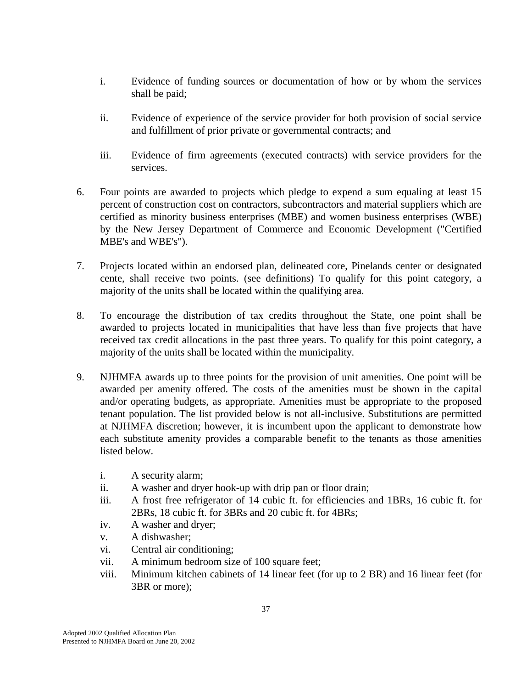- i. Evidence of funding sources or documentation of how or by whom the services shall be paid;
- ii. Evidence of experience of the service provider for both provision of social service and fulfillment of prior private or governmental contracts; and
- iii. Evidence of firm agreements (executed contracts) with service providers for the services.
- 6. Four points are awarded to projects which pledge to expend a sum equaling at least 15 percent of construction cost on contractors, subcontractors and material suppliers which are certified as minority business enterprises (MBE) and women business enterprises (WBE) by the New Jersey Department of Commerce and Economic Development ("Certified MBE's and WBE's").
- 7. Projects located within an endorsed plan, delineated core, Pinelands center or designated cente, shall receive two points. (see definitions) To qualify for this point category, a majority of the units shall be located within the qualifying area.
- 8. To encourage the distribution of tax credits throughout the State, one point shall be awarded to projects located in municipalities that have less than five projects that have received tax credit allocations in the past three years. To qualify for this point category, a majority of the units shall be located within the municipality.
- 9. NJHMFA awards up to three points for the provision of unit amenities. One point will be awarded per amenity offered. The costs of the amenities must be shown in the capital and/or operating budgets, as appropriate. Amenities must be appropriate to the proposed tenant population. The list provided below is not all-inclusive. Substitutions are permitted at NJHMFA discretion; however, it is incumbent upon the applicant to demonstrate how each substitute amenity provides a comparable benefit to the tenants as those amenities listed below.
	- i. A security alarm;
	- ii. A washer and dryer hook-up with drip pan or floor drain;
	- iii. A frost free refrigerator of 14 cubic ft. for efficiencies and 1BRs, 16 cubic ft. for 2BRs, 18 cubic ft. for 3BRs and 20 cubic ft. for 4BRs;
	- iv. A washer and dryer;
	- v. A dishwasher;
	- vi. Central air conditioning;
	- vii. A minimum bedroom size of 100 square feet;
	- viii. Minimum kitchen cabinets of 14 linear feet (for up to 2 BR) and 16 linear feet (for 3BR or more);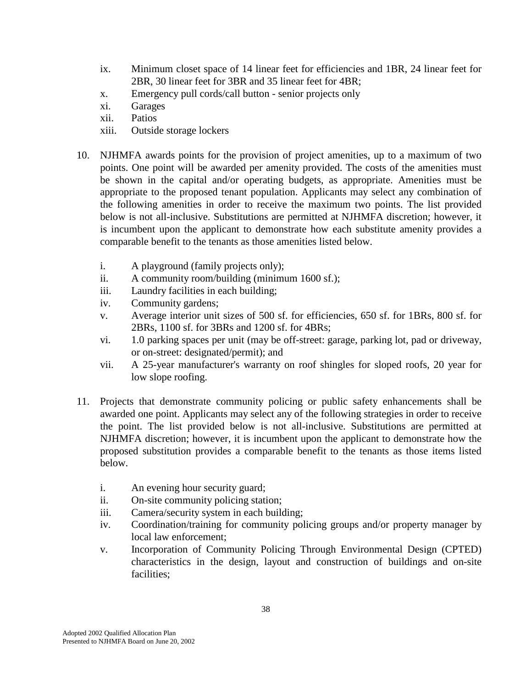- ix. Minimum closet space of 14 linear feet for efficiencies and 1BR, 24 linear feet for 2BR, 30 linear feet for 3BR and 35 linear feet for 4BR;
- x. Emergency pull cords/call button senior projects only
- xi. Garages
- xii. Patios
- xiii. Outside storage lockers
- 10. NJHMFA awards points for the provision of project amenities, up to a maximum of two points. One point will be awarded per amenity provided. The costs of the amenities must be shown in the capital and/or operating budgets, as appropriate. Amenities must be appropriate to the proposed tenant population. Applicants may select any combination of the following amenities in order to receive the maximum two points. The list provided below is not all-inclusive. Substitutions are permitted at NJHMFA discretion; however, it is incumbent upon the applicant to demonstrate how each substitute amenity provides a comparable benefit to the tenants as those amenities listed below.
	- i. A playground (family projects only);
	- ii. A community room/building (minimum 1600 sf.);
	- iii. Laundry facilities in each building;
	- iv. Community gardens;
	- v. Average interior unit sizes of 500 sf. for efficiencies, 650 sf. for 1BRs, 800 sf. for 2BRs, 1100 sf. for 3BRs and 1200 sf. for 4BRs;
	- vi. 1.0 parking spaces per unit (may be off-street: garage, parking lot, pad or driveway, or on-street: designated/permit); and
	- vii. A 25-year manufacturer's warranty on roof shingles for sloped roofs, 20 year for low slope roofing.
- 11. Projects that demonstrate community policing or public safety enhancements shall be awarded one point. Applicants may select any of the following strategies in order to receive the point. The list provided below is not all-inclusive. Substitutions are permitted at NJHMFA discretion; however, it is incumbent upon the applicant to demonstrate how the proposed substitution provides a comparable benefit to the tenants as those items listed below.
	- i. An evening hour security guard;
	- ii. On-site community policing station;
	- iii. Camera/security system in each building;
	- iv. Coordination/training for community policing groups and/or property manager by local law enforcement;
	- v. Incorporation of Community Policing Through Environmental Design (CPTED) characteristics in the design, layout and construction of buildings and on-site facilities;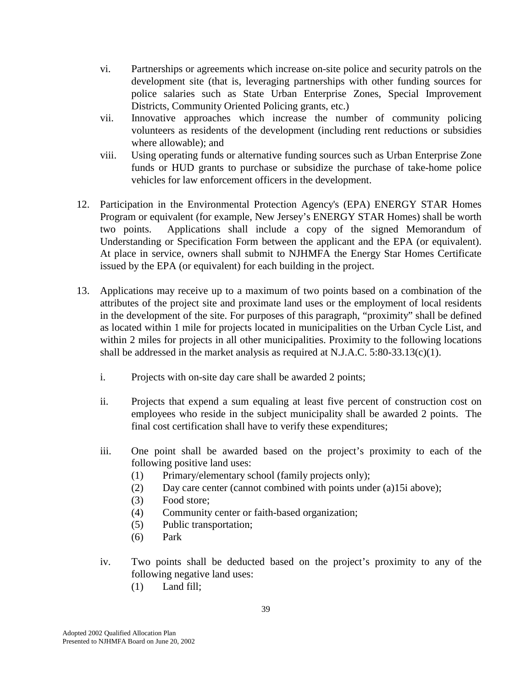- vi. Partnerships or agreements which increase on-site police and security patrols on the development site (that is, leveraging partnerships with other funding sources for police salaries such as State Urban Enterprise Zones, Special Improvement Districts, Community Oriented Policing grants, etc.)
- vii. Innovative approaches which increase the number of community policing volunteers as residents of the development (including rent reductions or subsidies where allowable); and
- viii. Using operating funds or alternative funding sources such as Urban Enterprise Zone funds or HUD grants to purchase or subsidize the purchase of take-home police vehicles for law enforcement officers in the development.
- 12. Participation in the Environmental Protection Agency's (EPA) ENERGY STAR Homes Program or equivalent (for example, New Jersey's ENERGY STAR Homes) shall be worth two points. Applications shall include a copy of the signed Memorandum of Understanding or Specification Form between the applicant and the EPA (or equivalent). At place in service, owners shall submit to NJHMFA the Energy Star Homes Certificate issued by the EPA (or equivalent) for each building in the project.
- 13. Applications may receive up to a maximum of two points based on a combination of the attributes of the project site and proximate land uses or the employment of local residents in the development of the site. For purposes of this paragraph, "proximity" shall be defined as located within 1 mile for projects located in municipalities on the Urban Cycle List, and within 2 miles for projects in all other municipalities. Proximity to the following locations shall be addressed in the market analysis as required at N.J.A.C. 5:80-33.13(c)(1).
	- i. Projects with on-site day care shall be awarded 2 points;
	- ii. Projects that expend a sum equaling at least five percent of construction cost on employees who reside in the subject municipality shall be awarded 2 points. The final cost certification shall have to verify these expenditures;
	- iii. One point shall be awarded based on the project's proximity to each of the following positive land uses:
		- (1) Primary/elementary school (family projects only);
		- (2) Day care center (cannot combined with points under (a)15i above);
		- (3) Food store;
		- (4) Community center or faith-based organization;
		- (5) Public transportation;
		- (6) Park
	- iv. Two points shall be deducted based on the project's proximity to any of the following negative land uses:
		- (1) Land fill;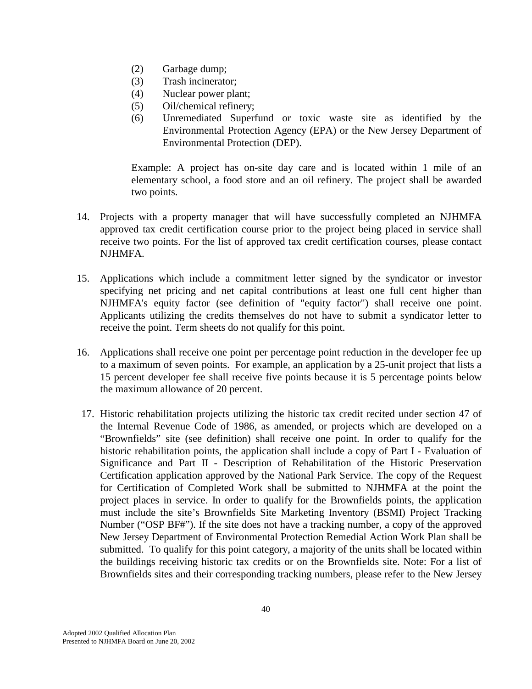- (2) Garbage dump;
- (3) Trash incinerator;
- (4) Nuclear power plant;
- (5) Oil/chemical refinery;
- (6) Unremediated Superfund or toxic waste site as identified by the Environmental Protection Agency (EPA) or the New Jersey Department of Environmental Protection (DEP).

 Example: A project has on-site day care and is located within 1 mile of an elementary school, a food store and an oil refinery. The project shall be awarded two points.

- 14. Projects with a property manager that will have successfully completed an NJHMFA approved tax credit certification course prior to the project being placed in service shall receive two points. For the list of approved tax credit certification courses, please contact NJHMFA.
- 15. Applications which include a commitment letter signed by the syndicator or investor specifying net pricing and net capital contributions at least one full cent higher than NJHMFA's equity factor (see definition of "equity factor") shall receive one point. Applicants utilizing the credits themselves do not have to submit a syndicator letter to receive the point. Term sheets do not qualify for this point.
- 16. Applications shall receive one point per percentage point reduction in the developer fee up to a maximum of seven points. For example, an application by a 25-unit project that lists a 15 percent developer fee shall receive five points because it is 5 percentage points below the maximum allowance of 20 percent.
- 17. Historic rehabilitation projects utilizing the historic tax credit recited under section 47 of the Internal Revenue Code of 1986, as amended, or projects which are developed on a "Brownfields" site (see definition) shall receive one point. In order to qualify for the historic rehabilitation points, the application shall include a copy of Part I - Evaluation of Significance and Part II - Description of Rehabilitation of the Historic Preservation Certification application approved by the National Park Service. The copy of the Request for Certification of Completed Work shall be submitted to NJHMFA at the point the project places in service. In order to qualify for the Brownfields points, the application must include the site's Brownfields Site Marketing Inventory (BSMI) Project Tracking Number ("OSP BF#"). If the site does not have a tracking number, a copy of the approved New Jersey Department of Environmental Protection Remedial Action Work Plan shall be submitted. To qualify for this point category, a majority of the units shall be located within the buildings receiving historic tax credits or on the Brownfields site. Note: For a list of Brownfields sites and their corresponding tracking numbers, please refer to the New Jersey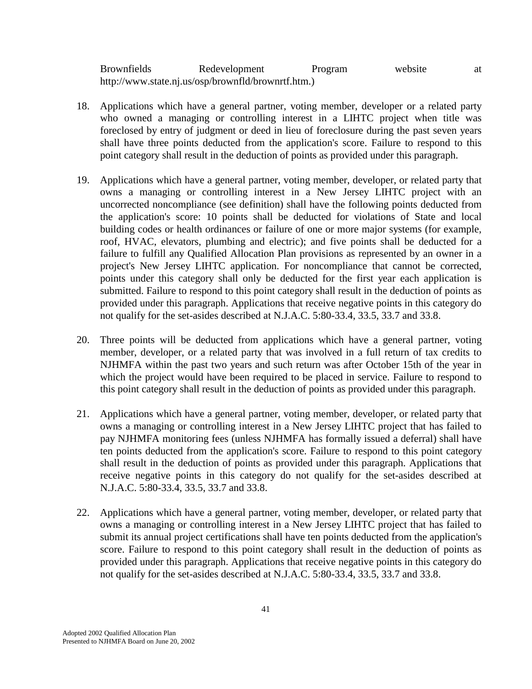| <b>Brownfields</b> | Redevelopment                                      | Program | website | at |
|--------------------|----------------------------------------------------|---------|---------|----|
|                    | http://www.state.nj.us/osp/brownfld/brownrtf.htm.) |         |         |    |

- 18. Applications which have a general partner, voting member, developer or a related party who owned a managing or controlling interest in a LIHTC project when title was foreclosed by entry of judgment or deed in lieu of foreclosure during the past seven years shall have three points deducted from the application's score. Failure to respond to this point category shall result in the deduction of points as provided under this paragraph.
- 19. Applications which have a general partner, voting member, developer, or related party that owns a managing or controlling interest in a New Jersey LIHTC project with an uncorrected noncompliance (see definition) shall have the following points deducted from the application's score: 10 points shall be deducted for violations of State and local building codes or health ordinances or failure of one or more major systems (for example, roof, HVAC, elevators, plumbing and electric); and five points shall be deducted for a failure to fulfill any Qualified Allocation Plan provisions as represented by an owner in a project's New Jersey LIHTC application. For noncompliance that cannot be corrected, points under this category shall only be deducted for the first year each application is submitted. Failure to respond to this point category shall result in the deduction of points as provided under this paragraph. Applications that receive negative points in this category do not qualify for the set-asides described at N.J.A.C. 5:80-33.4, 33.5, 33.7 and 33.8.
- 20. Three points will be deducted from applications which have a general partner, voting member, developer, or a related party that was involved in a full return of tax credits to NJHMFA within the past two years and such return was after October 15th of the year in which the project would have been required to be placed in service. Failure to respond to this point category shall result in the deduction of points as provided under this paragraph.
- 21. Applications which have a general partner, voting member, developer, or related party that owns a managing or controlling interest in a New Jersey LIHTC project that has failed to pay NJHMFA monitoring fees (unless NJHMFA has formally issued a deferral) shall have ten points deducted from the application's score. Failure to respond to this point category shall result in the deduction of points as provided under this paragraph. Applications that receive negative points in this category do not qualify for the set-asides described at N.J.A.C. 5:80-33.4, 33.5, 33.7 and 33.8.
- 22. Applications which have a general partner, voting member, developer, or related party that owns a managing or controlling interest in a New Jersey LIHTC project that has failed to submit its annual project certifications shall have ten points deducted from the application's score. Failure to respond to this point category shall result in the deduction of points as provided under this paragraph. Applications that receive negative points in this category do not qualify for the set-asides described at N.J.A.C. 5:80-33.4, 33.5, 33.7 and 33.8.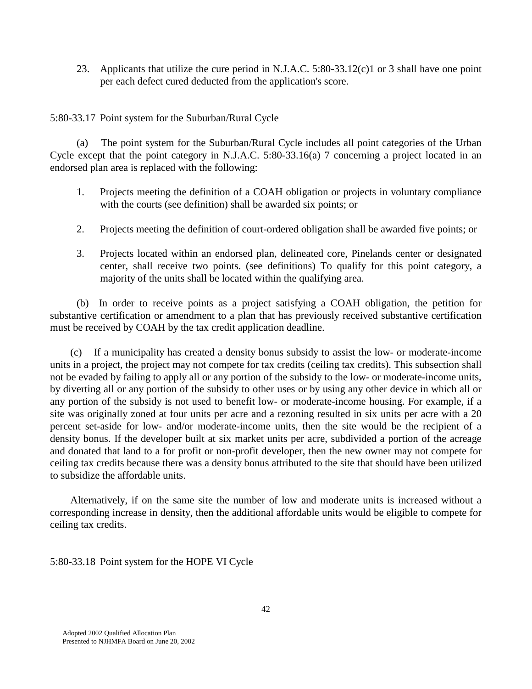23. Applicants that utilize the cure period in N.J.A.C. 5:80-33.12(c)1 or 3 shall have one point per each defect cured deducted from the application's score.

5:80-33.17 Point system for the Suburban/Rural Cycle

 (a) The point system for the Suburban/Rural Cycle includes all point categories of the Urban Cycle except that the point category in N.J.A.C. 5:80-33.16(a) 7 concerning a project located in an endorsed plan area is replaced with the following:

- 1. Projects meeting the definition of a COAH obligation or projects in voluntary compliance with the courts (see definition) shall be awarded six points; or
- 2. Projects meeting the definition of court-ordered obligation shall be awarded five points; or
- 3. Projects located within an endorsed plan, delineated core, Pinelands center or designated center, shall receive two points. (see definitions) To qualify for this point category, a majority of the units shall be located within the qualifying area.

 (b) In order to receive points as a project satisfying a COAH obligation, the petition for substantive certification or amendment to a plan that has previously received substantive certification must be received by COAH by the tax credit application deadline.

 (c) If a municipality has created a density bonus subsidy to assist the low- or moderate-income units in a project, the project may not compete for tax credits (ceiling tax credits). This subsection shall not be evaded by failing to apply all or any portion of the subsidy to the low- or moderate-income units, by diverting all or any portion of the subsidy to other uses or by using any other device in which all or any portion of the subsidy is not used to benefit low- or moderate-income housing. For example, if a site was originally zoned at four units per acre and a rezoning resulted in six units per acre with a 20 percent set-aside for low- and/or moderate-income units, then the site would be the recipient of a density bonus. If the developer built at six market units per acre, subdivided a portion of the acreage and donated that land to a for profit or non-profit developer, then the new owner may not compete for ceiling tax credits because there was a density bonus attributed to the site that should have been utilized to subsidize the affordable units.

 Alternatively, if on the same site the number of low and moderate units is increased without a corresponding increase in density, then the additional affordable units would be eligible to compete for ceiling tax credits.

5:80-33.18 Point system for the HOPE VI Cycle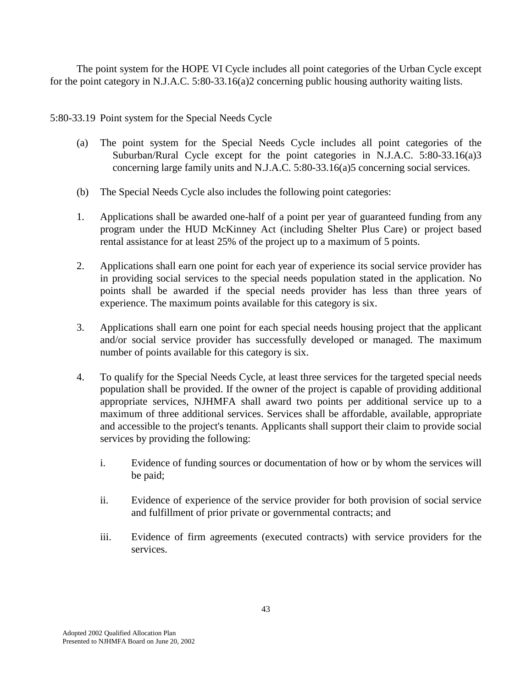The point system for the HOPE VI Cycle includes all point categories of the Urban Cycle except for the point category in N.J.A.C. 5:80-33.16(a)2 concerning public housing authority waiting lists.

5:80-33.19 Point system for the Special Needs Cycle

- (a) The point system for the Special Needs Cycle includes all point categories of the Suburban/Rural Cycle except for the point categories in N.J.A.C. 5:80-33.16(a)3 concerning large family units and N.J.A.C. 5:80-33.16(a)5 concerning social services.
- (b) The Special Needs Cycle also includes the following point categories:
- 1. Applications shall be awarded one-half of a point per year of guaranteed funding from any program under the HUD McKinney Act (including Shelter Plus Care) or project based rental assistance for at least 25% of the project up to a maximum of 5 points.
- 2. Applications shall earn one point for each year of experience its social service provider has in providing social services to the special needs population stated in the application. No points shall be awarded if the special needs provider has less than three years of experience. The maximum points available for this category is six.
- 3. Applications shall earn one point for each special needs housing project that the applicant and/or social service provider has successfully developed or managed. The maximum number of points available for this category is six.
- 4. To qualify for the Special Needs Cycle, at least three services for the targeted special needs population shall be provided. If the owner of the project is capable of providing additional appropriate services, NJHMFA shall award two points per additional service up to a maximum of three additional services. Services shall be affordable, available, appropriate and accessible to the project's tenants. Applicants shall support their claim to provide social services by providing the following:
	- i. Evidence of funding sources or documentation of how or by whom the services will be paid;
	- ii. Evidence of experience of the service provider for both provision of social service and fulfillment of prior private or governmental contracts; and
	- iii. Evidence of firm agreements (executed contracts) with service providers for the services.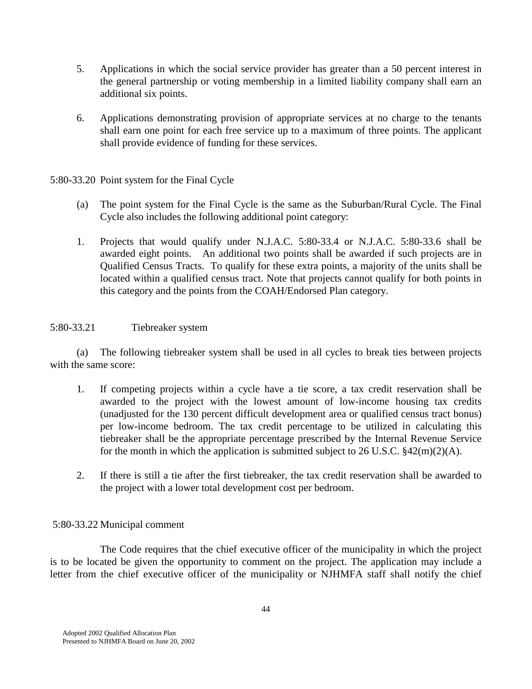- 5. Applications in which the social service provider has greater than a 50 percent interest in the general partnership or voting membership in a limited liability company shall earn an additional six points.
- 6. Applications demonstrating provision of appropriate services at no charge to the tenants shall earn one point for each free service up to a maximum of three points. The applicant shall provide evidence of funding for these services.

## 5:80-33.20 Point system for the Final Cycle

- (a) The point system for the Final Cycle is the same as the Suburban/Rural Cycle. The Final Cycle also includes the following additional point category:
- 1. Projects that would qualify under N.J.A.C. 5:80-33.4 or N.J.A.C. 5:80-33.6 shall be awarded eight points. An additional two points shall be awarded if such projects are in Qualified Census Tracts. To qualify for these extra points, a majority of the units shall be located within a qualified census tract. Note that projects cannot qualify for both points in this category and the points from the COAH/Endorsed Plan category.

### 5:80-33.21 Tiebreaker system

 (a) The following tiebreaker system shall be used in all cycles to break ties between projects with the same score:

- 1. If competing projects within a cycle have a tie score, a tax credit reservation shall be awarded to the project with the lowest amount of low-income housing tax credits (unadjusted for the 130 percent difficult development area or qualified census tract bonus) per low-income bedroom. The tax credit percentage to be utilized in calculating this tiebreaker shall be the appropriate percentage prescribed by the Internal Revenue Service for the month in which the application is submitted subject to 26 U.S.C.  $\frac{242(m)(2)(A)}{A}$ .
- 2. If there is still a tie after the first tiebreaker, the tax credit reservation shall be awarded to the project with a lower total development cost per bedroom.

# 5:80-33.22 Municipal comment

 The Code requires that the chief executive officer of the municipality in which the project is to be located be given the opportunity to comment on the project. The application may include a letter from the chief executive officer of the municipality or NJHMFA staff shall notify the chief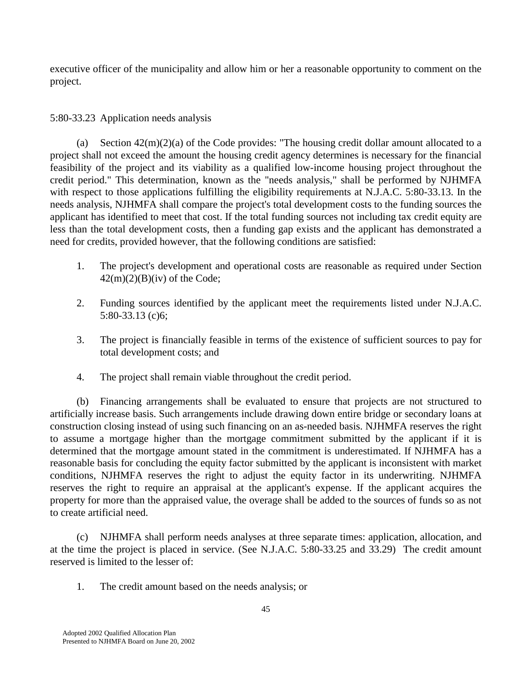executive officer of the municipality and allow him or her a reasonable opportunity to comment on the project.

# 5:80-33.23 Application needs analysis

(a) Section  $42(m)(2)(a)$  of the Code provides: "The housing credit dollar amount allocated to a project shall not exceed the amount the housing credit agency determines is necessary for the financial feasibility of the project and its viability as a qualified low-income housing project throughout the credit period." This determination, known as the "needs analysis," shall be performed by NJHMFA with respect to those applications fulfilling the eligibility requirements at N.J.A.C. 5:80-33.13. In the needs analysis, NJHMFA shall compare the project's total development costs to the funding sources the applicant has identified to meet that cost. If the total funding sources not including tax credit equity are less than the total development costs, then a funding gap exists and the applicant has demonstrated a need for credits, provided however, that the following conditions are satisfied:

- 1. The project's development and operational costs are reasonable as required under Section  $42(m)(2)(B)(iv)$  of the Code;
- 2. Funding sources identified by the applicant meet the requirements listed under N.J.A.C. 5:80-33.13 (c)6;
- 3. The project is financially feasible in terms of the existence of sufficient sources to pay for total development costs; and
- 4. The project shall remain viable throughout the credit period.

 (b) Financing arrangements shall be evaluated to ensure that projects are not structured to artificially increase basis. Such arrangements include drawing down entire bridge or secondary loans at construction closing instead of using such financing on an as-needed basis. NJHMFA reserves the right to assume a mortgage higher than the mortgage commitment submitted by the applicant if it is determined that the mortgage amount stated in the commitment is underestimated. If NJHMFA has a reasonable basis for concluding the equity factor submitted by the applicant is inconsistent with market conditions, NJHMFA reserves the right to adjust the equity factor in its underwriting. NJHMFA reserves the right to require an appraisal at the applicant's expense. If the applicant acquires the property for more than the appraised value, the overage shall be added to the sources of funds so as not to create artificial need.

 (c) NJHMFA shall perform needs analyses at three separate times: application, allocation, and at the time the project is placed in service. (See N.J.A.C. 5:80-33.25 and 33.29) The credit amount reserved is limited to the lesser of:

1. The credit amount based on the needs analysis; or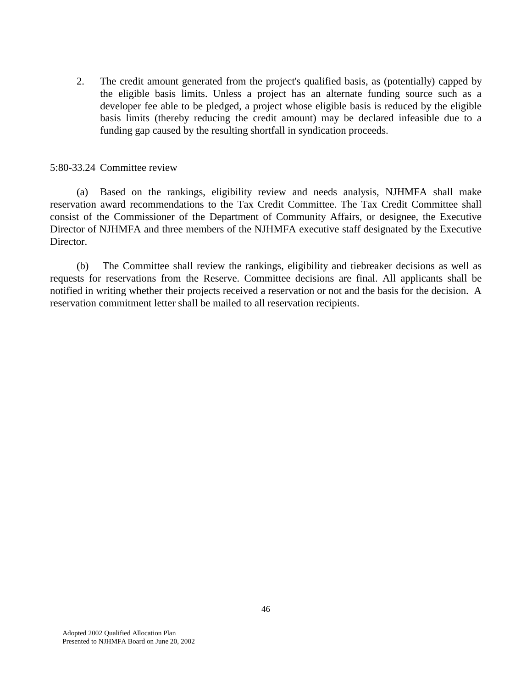2. The credit amount generated from the project's qualified basis, as (potentially) capped by the eligible basis limits. Unless a project has an alternate funding source such as a developer fee able to be pledged, a project whose eligible basis is reduced by the eligible basis limits (thereby reducing the credit amount) may be declared infeasible due to a funding gap caused by the resulting shortfall in syndication proceeds.

#### 5:80-33.24 Committee review

 (a) Based on the rankings, eligibility review and needs analysis, NJHMFA shall make reservation award recommendations to the Tax Credit Committee. The Tax Credit Committee shall consist of the Commissioner of the Department of Community Affairs, or designee, the Executive Director of NJHMFA and three members of the NJHMFA executive staff designated by the Executive Director.

 (b) The Committee shall review the rankings, eligibility and tiebreaker decisions as well as requests for reservations from the Reserve. Committee decisions are final. All applicants shall be notified in writing whether their projects received a reservation or not and the basis for the decision. A reservation commitment letter shall be mailed to all reservation recipients.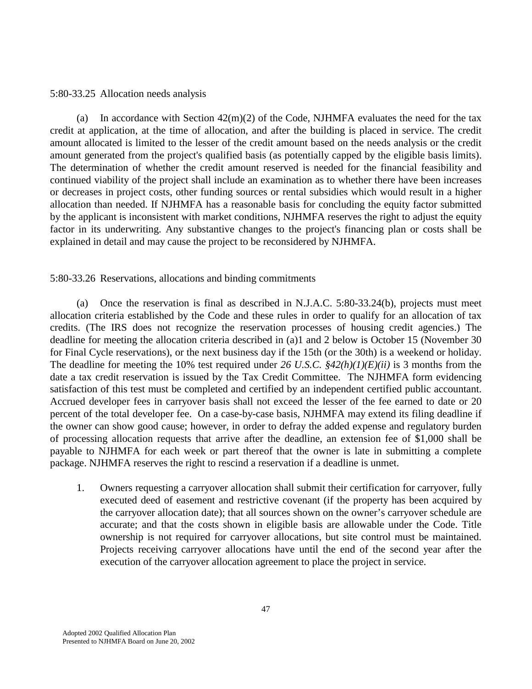#### 5:80-33.25 Allocation needs analysis

(a) In accordance with Section  $42(m)(2)$  of the Code, NJHMFA evaluates the need for the tax credit at application, at the time of allocation, and after the building is placed in service. The credit amount allocated is limited to the lesser of the credit amount based on the needs analysis or the credit amount generated from the project's qualified basis (as potentially capped by the eligible basis limits). The determination of whether the credit amount reserved is needed for the financial feasibility and continued viability of the project shall include an examination as to whether there have been increases or decreases in project costs, other funding sources or rental subsidies which would result in a higher allocation than needed. If NJHMFA has a reasonable basis for concluding the equity factor submitted by the applicant is inconsistent with market conditions, NJHMFA reserves the right to adjust the equity factor in its underwriting. Any substantive changes to the project's financing plan or costs shall be explained in detail and may cause the project to be reconsidered by NJHMFA.

### 5:80-33.26 Reservations, allocations and binding commitments

 (a) Once the reservation is final as described in N.J.A.C. 5:80-33.24(b), projects must meet allocation criteria established by the Code and these rules in order to qualify for an allocation of tax credits. (The IRS does not recognize the reservation processes of housing credit agencies.) The deadline for meeting the allocation criteria described in (a)1 and 2 below is October 15 (November 30 for Final Cycle reservations), or the next business day if the 15th (or the 30th) is a weekend or holiday. The deadline for meeting the 10% test required under *26 U.S.C. §42(h)(1)(E)(ii)* is 3 months from the date a tax credit reservation is issued by the Tax Credit Committee. The NJHMFA form evidencing satisfaction of this test must be completed and certified by an independent certified public accountant. Accrued developer fees in carryover basis shall not exceed the lesser of the fee earned to date or 20 percent of the total developer fee. On a case-by-case basis, NJHMFA may extend its filing deadline if the owner can show good cause; however, in order to defray the added expense and regulatory burden of processing allocation requests that arrive after the deadline, an extension fee of \$1,000 shall be payable to NJHMFA for each week or part thereof that the owner is late in submitting a complete package. NJHMFA reserves the right to rescind a reservation if a deadline is unmet.

 1. Owners requesting a carryover allocation shall submit their certification for carryover, fully executed deed of easement and restrictive covenant (if the property has been acquired by the carryover allocation date); that all sources shown on the owner's carryover schedule are accurate; and that the costs shown in eligible basis are allowable under the Code. Title ownership is not required for carryover allocations, but site control must be maintained. Projects receiving carryover allocations have until the end of the second year after the execution of the carryover allocation agreement to place the project in service.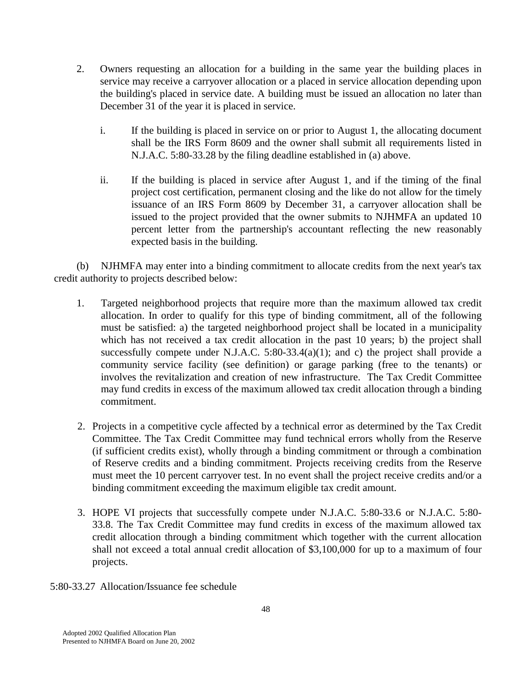- 2. Owners requesting an allocation for a building in the same year the building places in service may receive a carryover allocation or a placed in service allocation depending upon the building's placed in service date. A building must be issued an allocation no later than December 31 of the year it is placed in service.
	- i. If the building is placed in service on or prior to August 1, the allocating document shall be the IRS Form 8609 and the owner shall submit all requirements listed in N.J.A.C. 5:80-33.28 by the filing deadline established in (a) above.
	- ii. If the building is placed in service after August 1, and if the timing of the final project cost certification, permanent closing and the like do not allow for the timely issuance of an IRS Form 8609 by December 31, a carryover allocation shall be issued to the project provided that the owner submits to NJHMFA an updated 10 percent letter from the partnership's accountant reflecting the new reasonably expected basis in the building.

 (b) NJHMFA may enter into a binding commitment to allocate credits from the next year's tax credit authority to projects described below:

- 1. Targeted neighborhood projects that require more than the maximum allowed tax credit allocation. In order to qualify for this type of binding commitment, all of the following must be satisfied: a) the targeted neighborhood project shall be located in a municipality which has not received a tax credit allocation in the past 10 years; b) the project shall successfully compete under N.J.A.C.  $5:80-33.4(a)(1)$ ; and c) the project shall provide a community service facility (see definition) or garage parking (free to the tenants) or involves the revitalization and creation of new infrastructure. The Tax Credit Committee may fund credits in excess of the maximum allowed tax credit allocation through a binding commitment.
- 2. Projects in a competitive cycle affected by a technical error as determined by the Tax Credit Committee. The Tax Credit Committee may fund technical errors wholly from the Reserve (if sufficient credits exist), wholly through a binding commitment or through a combination of Reserve credits and a binding commitment. Projects receiving credits from the Reserve must meet the 10 percent carryover test. In no event shall the project receive credits and/or a binding commitment exceeding the maximum eligible tax credit amount.
- 3. HOPE VI projects that successfully compete under N.J.A.C. 5:80-33.6 or N.J.A.C. 5:80- 33.8. The Tax Credit Committee may fund credits in excess of the maximum allowed tax credit allocation through a binding commitment which together with the current allocation shall not exceed a total annual credit allocation of \$3,100,000 for up to a maximum of four projects.
- 5:80-33.27 Allocation/Issuance fee schedule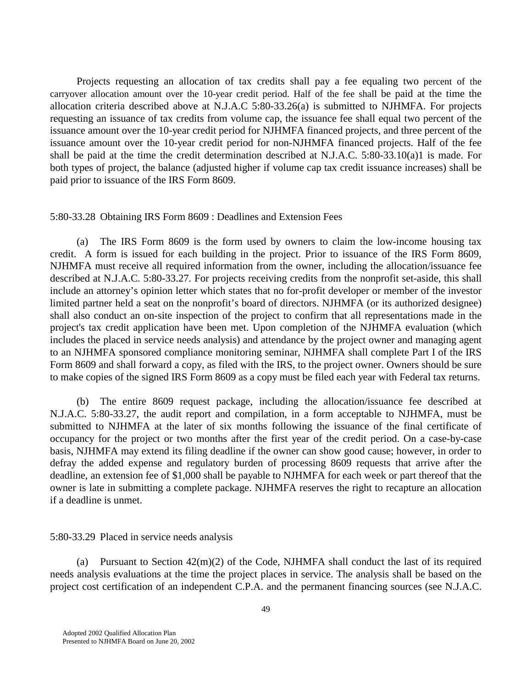Projects requesting an allocation of tax credits shall pay a fee equaling two percent of the carryover allocation amount over the 10-year credit period. Half of the fee shall be paid at the time the allocation criteria described above at N.J.A.C 5:80-33.26(a) is submitted to NJHMFA. For projects requesting an issuance of tax credits from volume cap, the issuance fee shall equal two percent of the issuance amount over the 10-year credit period for NJHMFA financed projects, and three percent of the issuance amount over the 10-year credit period for non-NJHMFA financed projects. Half of the fee shall be paid at the time the credit determination described at N.J.A.C. 5:80-33.10(a)1 is made. For both types of project, the balance (adjusted higher if volume cap tax credit issuance increases) shall be paid prior to issuance of the IRS Form 8609.

#### 5:80-33.28 Obtaining IRS Form 8609 : Deadlines and Extension Fees

 (a) The IRS Form 8609 is the form used by owners to claim the low-income housing tax credit. A form is issued for each building in the project. Prior to issuance of the IRS Form 8609, NJHMFA must receive all required information from the owner, including the allocation/issuance fee described at N.J.A.C. 5:80-33.27. For projects receiving credits from the nonprofit set-aside, this shall include an attorney's opinion letter which states that no for-profit developer or member of the investor limited partner held a seat on the nonprofit's board of directors. NJHMFA (or its authorized designee) shall also conduct an on-site inspection of the project to confirm that all representations made in the project's tax credit application have been met. Upon completion of the NJHMFA evaluation (which includes the placed in service needs analysis) and attendance by the project owner and managing agent to an NJHMFA sponsored compliance monitoring seminar, NJHMFA shall complete Part I of the IRS Form 8609 and shall forward a copy, as filed with the IRS, to the project owner. Owners should be sure to make copies of the signed IRS Form 8609 as a copy must be filed each year with Federal tax returns.

 (b) The entire 8609 request package, including the allocation/issuance fee described at N.J.A.C. 5:80-33.27, the audit report and compilation, in a form acceptable to NJHMFA, must be submitted to NJHMFA at the later of six months following the issuance of the final certificate of occupancy for the project or two months after the first year of the credit period. On a case-by-case basis, NJHMFA may extend its filing deadline if the owner can show good cause; however, in order to defray the added expense and regulatory burden of processing 8609 requests that arrive after the deadline, an extension fee of \$1,000 shall be payable to NJHMFA for each week or part thereof that the owner is late in submitting a complete package. NJHMFA reserves the right to recapture an allocation if a deadline is unmet.

### 5:80-33.29 Placed in service needs analysis

(a) Pursuant to Section  $42(m)(2)$  of the Code, NJHMFA shall conduct the last of its required needs analysis evaluations at the time the project places in service. The analysis shall be based on the project cost certification of an independent C.P.A. and the permanent financing sources (see N.J.A.C.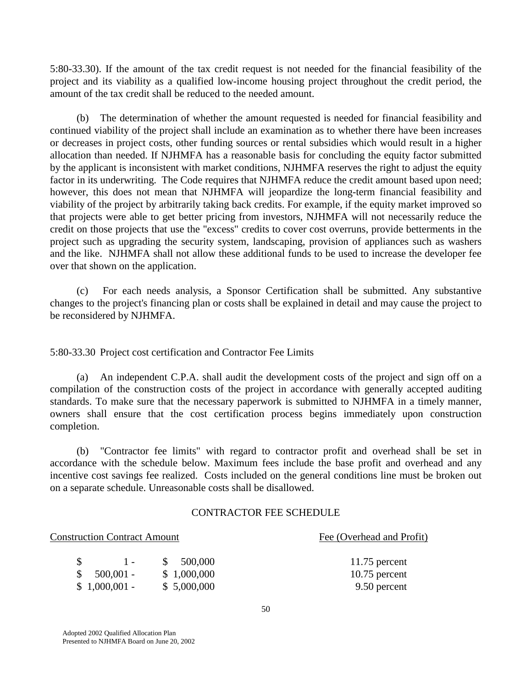5:80-33.30). If the amount of the tax credit request is not needed for the financial feasibility of the project and its viability as a qualified low-income housing project throughout the credit period, the amount of the tax credit shall be reduced to the needed amount.

 (b) The determination of whether the amount requested is needed for financial feasibility and continued viability of the project shall include an examination as to whether there have been increases or decreases in project costs, other funding sources or rental subsidies which would result in a higher allocation than needed. If NJHMFA has a reasonable basis for concluding the equity factor submitted by the applicant is inconsistent with market conditions, NJHMFA reserves the right to adjust the equity factor in its underwriting. The Code requires that NJHMFA reduce the credit amount based upon need; however, this does not mean that NJHMFA will jeopardize the long-term financial feasibility and viability of the project by arbitrarily taking back credits. For example, if the equity market improved so that projects were able to get better pricing from investors, NJHMFA will not necessarily reduce the credit on those projects that use the "excess" credits to cover cost overruns, provide betterments in the project such as upgrading the security system, landscaping, provision of appliances such as washers and the like. NJHMFA shall not allow these additional funds to be used to increase the developer fee over that shown on the application.

 (c) For each needs analysis, a Sponsor Certification shall be submitted. Any substantive changes to the project's financing plan or costs shall be explained in detail and may cause the project to be reconsidered by NJHMFA.

5:80-33.30 Project cost certification and Contractor Fee Limits

 (a) An independent C.P.A. shall audit the development costs of the project and sign off on a compilation of the construction costs of the project in accordance with generally accepted auditing standards. To make sure that the necessary paperwork is submitted to NJHMFA in a timely manner, owners shall ensure that the cost certification process begins immediately upon construction completion.

 (b) "Contractor fee limits" with regard to contractor profit and overhead shall be set in accordance with the schedule below. Maximum fees include the base profit and overhead and any incentive cost savings fee realized. Costs included on the general conditions line must be broken out on a separate schedule. Unreasonable costs shall be disallowed.

### CONTRACTOR FEE SCHEDULE

#### Construction Contract Amount Fee (Overhead and Profit)

|                | 11.75 percent<br>\$500,000     |
|----------------|--------------------------------|
| $$500,001$ -   | \$1,000,000<br>$10.75$ percent |
| $$1,000,001$ - | \$5,000,000<br>9.50 percent    |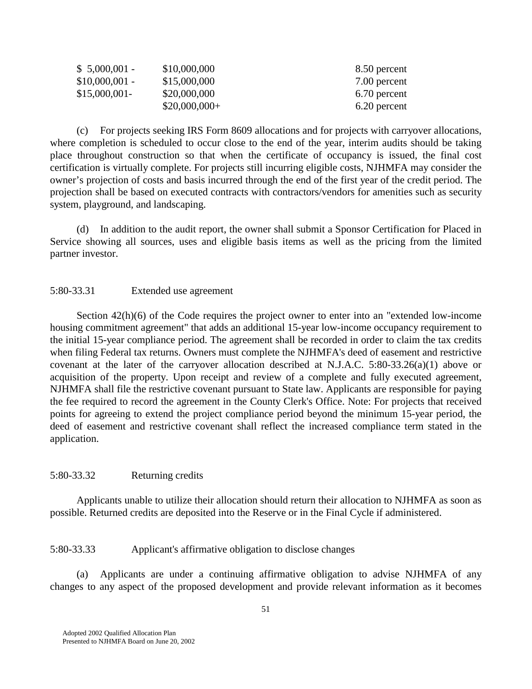| $$5,000,001$ -  | \$10,000,000   | 8.50 percent |
|-----------------|----------------|--------------|
| $$10,000,001$ - | \$15,000,000   | 7.00 percent |
| $$15,000,001$ - | \$20,000,000   | 6.70 percent |
|                 | $$20,000,000+$ | 6.20 percent |

 (c) For projects seeking IRS Form 8609 allocations and for projects with carryover allocations, where completion is scheduled to occur close to the end of the year, interim audits should be taking place throughout construction so that when the certificate of occupancy is issued, the final cost certification is virtually complete. For projects still incurring eligible costs, NJHMFA may consider the owner's projection of costs and basis incurred through the end of the first year of the credit period. The projection shall be based on executed contracts with contractors/vendors for amenities such as security system, playground, and landscaping.

 (d) In addition to the audit report, the owner shall submit a Sponsor Certification for Placed in Service showing all sources, uses and eligible basis items as well as the pricing from the limited partner investor.

## 5:80-33.31 Extended use agreement

Section  $42(h)(6)$  of the Code requires the project owner to enter into an "extended low-income" housing commitment agreement" that adds an additional 15-year low-income occupancy requirement to the initial 15-year compliance period. The agreement shall be recorded in order to claim the tax credits when filing Federal tax returns. Owners must complete the NJHMFA's deed of easement and restrictive covenant at the later of the carryover allocation described at N.J.A.C. 5:80-33.26(a)(1) above or acquisition of the property. Upon receipt and review of a complete and fully executed agreement, NJHMFA shall file the restrictive covenant pursuant to State law. Applicants are responsible for paying the fee required to record the agreement in the County Clerk's Office. Note: For projects that received points for agreeing to extend the project compliance period beyond the minimum 15-year period, the deed of easement and restrictive covenant shall reflect the increased compliance term stated in the application.

### 5:80-33.32 Returning credits

 Applicants unable to utilize their allocation should return their allocation to NJHMFA as soon as possible. Returned credits are deposited into the Reserve or in the Final Cycle if administered.

### 5:80-33.33 Applicant's affirmative obligation to disclose changes

 (a) Applicants are under a continuing affirmative obligation to advise NJHMFA of any changes to any aspect of the proposed development and provide relevant information as it becomes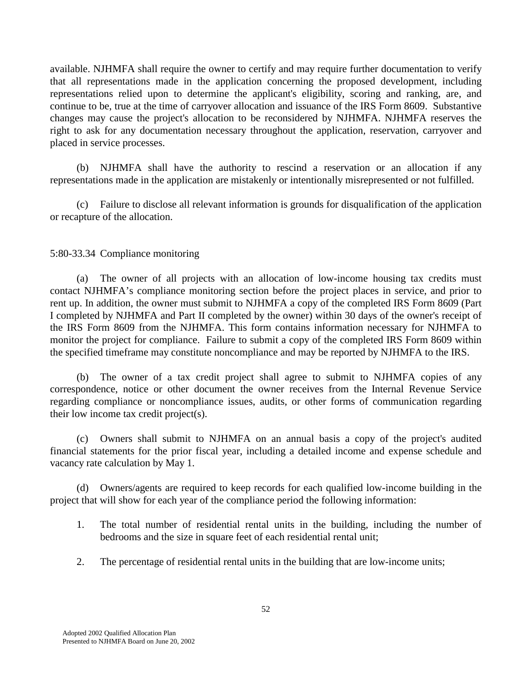available. NJHMFA shall require the owner to certify and may require further documentation to verify that all representations made in the application concerning the proposed development, including representations relied upon to determine the applicant's eligibility, scoring and ranking, are, and continue to be, true at the time of carryover allocation and issuance of the IRS Form 8609. Substantive changes may cause the project's allocation to be reconsidered by NJHMFA. NJHMFA reserves the right to ask for any documentation necessary throughout the application, reservation, carryover and placed in service processes.

 (b) NJHMFA shall have the authority to rescind a reservation or an allocation if any representations made in the application are mistakenly or intentionally misrepresented or not fulfilled.

 (c) Failure to disclose all relevant information is grounds for disqualification of the application or recapture of the allocation.

## 5:80-33.34 Compliance monitoring

 (a) The owner of all projects with an allocation of low-income housing tax credits must contact NJHMFA's compliance monitoring section before the project places in service, and prior to rent up. In addition, the owner must submit to NJHMFA a copy of the completed IRS Form 8609 (Part I completed by NJHMFA and Part II completed by the owner) within 30 days of the owner's receipt of the IRS Form 8609 from the NJHMFA. This form contains information necessary for NJHMFA to monitor the project for compliance. Failure to submit a copy of the completed IRS Form 8609 within the specified timeframe may constitute noncompliance and may be reported by NJHMFA to the IRS.

 (b) The owner of a tax credit project shall agree to submit to NJHMFA copies of any correspondence, notice or other document the owner receives from the Internal Revenue Service regarding compliance or noncompliance issues, audits, or other forms of communication regarding their low income tax credit project(s).

 (c) Owners shall submit to NJHMFA on an annual basis a copy of the project's audited financial statements for the prior fiscal year, including a detailed income and expense schedule and vacancy rate calculation by May 1.

 (d) Owners/agents are required to keep records for each qualified low-income building in the project that will show for each year of the compliance period the following information:

- 1. The total number of residential rental units in the building, including the number of bedrooms and the size in square feet of each residential rental unit;
- 2. The percentage of residential rental units in the building that are low-income units;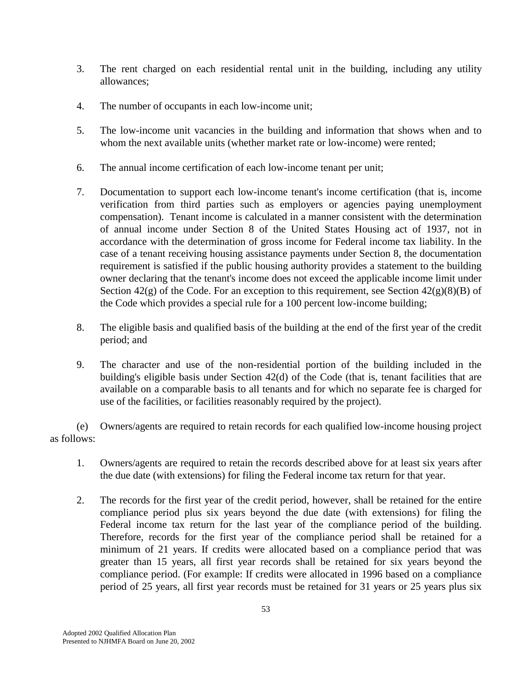- 3. The rent charged on each residential rental unit in the building, including any utility allowances;
- 4. The number of occupants in each low-income unit;
- 5. The low-income unit vacancies in the building and information that shows when and to whom the next available units (whether market rate or low-income) were rented;
- 6. The annual income certification of each low-income tenant per unit;
- 7. Documentation to support each low-income tenant's income certification (that is, income verification from third parties such as employers or agencies paying unemployment compensation). Tenant income is calculated in a manner consistent with the determination of annual income under Section 8 of the United States Housing act of 1937, not in accordance with the determination of gross income for Federal income tax liability. In the case of a tenant receiving housing assistance payments under Section 8, the documentation requirement is satisfied if the public housing authority provides a statement to the building owner declaring that the tenant's income does not exceed the applicable income limit under Section  $42(g)$  of the Code. For an exception to this requirement, see Section  $42(g)(8)(B)$  of the Code which provides a special rule for a 100 percent low-income building;
- 8. The eligible basis and qualified basis of the building at the end of the first year of the credit period; and
- 9. The character and use of the non-residential portion of the building included in the building's eligible basis under Section 42(d) of the Code (that is, tenant facilities that are available on a comparable basis to all tenants and for which no separate fee is charged for use of the facilities, or facilities reasonably required by the project).

 (e) Owners/agents are required to retain records for each qualified low-income housing project as follows:

- 1. Owners/agents are required to retain the records described above for at least six years after the due date (with extensions) for filing the Federal income tax return for that year.
- 2. The records for the first year of the credit period, however, shall be retained for the entire compliance period plus six years beyond the due date (with extensions) for filing the Federal income tax return for the last year of the compliance period of the building. Therefore, records for the first year of the compliance period shall be retained for a minimum of 21 years. If credits were allocated based on a compliance period that was greater than 15 years, all first year records shall be retained for six years beyond the compliance period. (For example: If credits were allocated in 1996 based on a compliance period of 25 years, all first year records must be retained for 31 years or 25 years plus six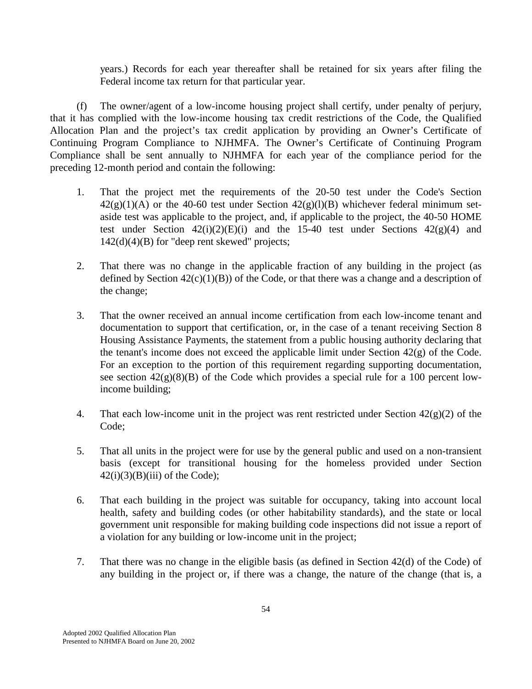years.) Records for each year thereafter shall be retained for six years after filing the Federal income tax return for that particular year.

 (f) The owner/agent of a low-income housing project shall certify, under penalty of perjury, that it has complied with the low-income housing tax credit restrictions of the Code, the Qualified Allocation Plan and the project's tax credit application by providing an Owner's Certificate of Continuing Program Compliance to NJHMFA. The Owner's Certificate of Continuing Program Compliance shall be sent annually to NJHMFA for each year of the compliance period for the preceding 12-month period and contain the following:

- 1. That the project met the requirements of the 20-50 test under the Code's Section  $42(g)(1)(A)$  or the 40-60 test under Section  $42(g)(1)(B)$  whichever federal minimum setaside test was applicable to the project, and, if applicable to the project, the 40-50 HOME test under Section  $42(i)(2)(E)(i)$  and the 15-40 test under Sections  $42(g)(4)$  and 142(d)(4)(B) for "deep rent skewed" projects;
- 2. That there was no change in the applicable fraction of any building in the project (as defined by Section  $42(c)(1)(B)$  of the Code, or that there was a change and a description of the change;
- 3. That the owner received an annual income certification from each low-income tenant and documentation to support that certification, or, in the case of a tenant receiving Section 8 Housing Assistance Payments, the statement from a public housing authority declaring that the tenant's income does not exceed the applicable limit under Section 42(g) of the Code. For an exception to the portion of this requirement regarding supporting documentation, see section  $42(g)(8)(B)$  of the Code which provides a special rule for a 100 percent lowincome building;
- 4. That each low-income unit in the project was rent restricted under Section  $42(g)(2)$  of the Code;
- 5. That all units in the project were for use by the general public and used on a non-transient basis (except for transitional housing for the homeless provided under Section  $42(i)(3)(B)(iii)$  of the Code);
- 6. That each building in the project was suitable for occupancy, taking into account local health, safety and building codes (or other habitability standards), and the state or local government unit responsible for making building code inspections did not issue a report of a violation for any building or low-income unit in the project;
- 7. That there was no change in the eligible basis (as defined in Section 42(d) of the Code) of any building in the project or, if there was a change, the nature of the change (that is, a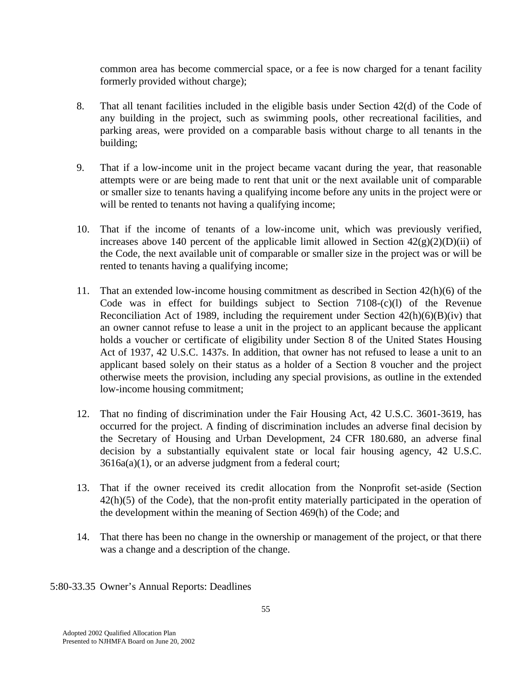common area has become commercial space, or a fee is now charged for a tenant facility formerly provided without charge);

- 8. That all tenant facilities included in the eligible basis under Section 42(d) of the Code of any building in the project, such as swimming pools, other recreational facilities, and parking areas, were provided on a comparable basis without charge to all tenants in the building;
- 9. That if a low-income unit in the project became vacant during the year, that reasonable attempts were or are being made to rent that unit or the next available unit of comparable or smaller size to tenants having a qualifying income before any units in the project were or will be rented to tenants not having a qualifying income;
- 10. That if the income of tenants of a low-income unit, which was previously verified, increases above 140 percent of the applicable limit allowed in Section  $42(g)(2)(D)(ii)$  of the Code, the next available unit of comparable or smaller size in the project was or will be rented to tenants having a qualifying income;
- 11. That an extended low-income housing commitment as described in Section 42(h)(6) of the Code was in effect for buildings subject to Section 7108-(c)(l) of the Revenue Reconciliation Act of 1989, including the requirement under Section  $42(h)(6)(B)(iv)$  that an owner cannot refuse to lease a unit in the project to an applicant because the applicant holds a voucher or certificate of eligibility under Section 8 of the United States Housing Act of 1937, 42 U.S.C. 1437s. In addition, that owner has not refused to lease a unit to an applicant based solely on their status as a holder of a Section 8 voucher and the project otherwise meets the provision, including any special provisions, as outline in the extended low-income housing commitment;
- 12. That no finding of discrimination under the Fair Housing Act, 42 U.S.C. 3601-3619, has occurred for the project. A finding of discrimination includes an adverse final decision by the Secretary of Housing and Urban Development, 24 CFR 180.680, an adverse final decision by a substantially equivalent state or local fair housing agency, 42 U.S.C. 3616a(a)(1), or an adverse judgment from a federal court;
- 13. That if the owner received its credit allocation from the Nonprofit set-aside (Section 42(h)(5) of the Code), that the non-profit entity materially participated in the operation of the development within the meaning of Section 469(h) of the Code; and
- 14. That there has been no change in the ownership or management of the project, or that there was a change and a description of the change.
- 5:80-33.35 Owner's Annual Reports: Deadlines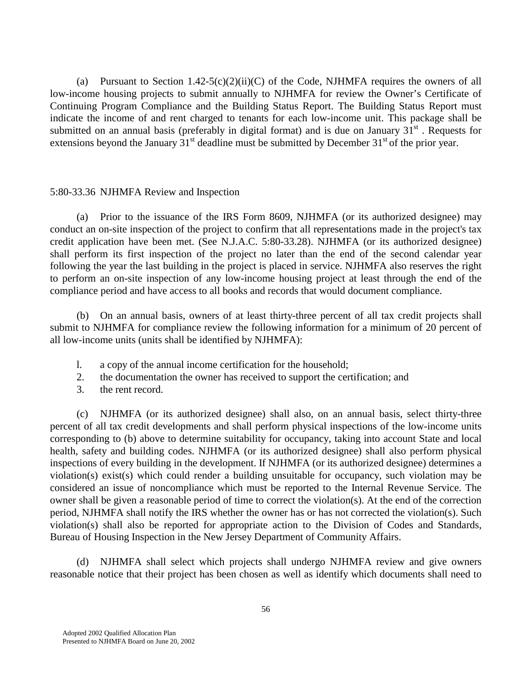(a) Pursuant to Section 1.42-5(c)(2)(ii)(C) of the Code, NJHMFA requires the owners of all low-income housing projects to submit annually to NJHMFA for review the Owner's Certificate of Continuing Program Compliance and the Building Status Report. The Building Status Report must indicate the income of and rent charged to tenants for each low-income unit. This package shall be submitted on an annual basis (preferably in digital format) and is due on January  $31<sup>st</sup>$ . Requests for extensions beyond the January  $31<sup>st</sup>$  deadline must be submitted by December  $31<sup>st</sup>$  of the prior year.

### 5:80-33.36 NJHMFA Review and Inspection

 (a) Prior to the issuance of the IRS Form 8609, NJHMFA (or its authorized designee) may conduct an on-site inspection of the project to confirm that all representations made in the project's tax credit application have been met. (See N.J.A.C. 5:80-33.28). NJHMFA (or its authorized designee) shall perform its first inspection of the project no later than the end of the second calendar year following the year the last building in the project is placed in service. NJHMFA also reserves the right to perform an on-site inspection of any low-income housing project at least through the end of the compliance period and have access to all books and records that would document compliance.

 (b) On an annual basis, owners of at least thirty-three percent of all tax credit projects shall submit to NJHMFA for compliance review the following information for a minimum of 20 percent of all low-income units (units shall be identified by NJHMFA):

- l. a copy of the annual income certification for the household;
- 2. the documentation the owner has received to support the certification; and
- 3. the rent record.

 (c) NJHMFA (or its authorized designee) shall also, on an annual basis, select thirty-three percent of all tax credit developments and shall perform physical inspections of the low-income units corresponding to (b) above to determine suitability for occupancy, taking into account State and local health, safety and building codes. NJHMFA (or its authorized designee) shall also perform physical inspections of every building in the development. If NJHMFA (or its authorized designee) determines a violation(s) exist(s) which could render a building unsuitable for occupancy, such violation may be considered an issue of noncompliance which must be reported to the Internal Revenue Service. The owner shall be given a reasonable period of time to correct the violation(s). At the end of the correction period, NJHMFA shall notify the IRS whether the owner has or has not corrected the violation(s). Such violation(s) shall also be reported for appropriate action to the Division of Codes and Standards, Bureau of Housing Inspection in the New Jersey Department of Community Affairs.

 (d) NJHMFA shall select which projects shall undergo NJHMFA review and give owners reasonable notice that their project has been chosen as well as identify which documents shall need to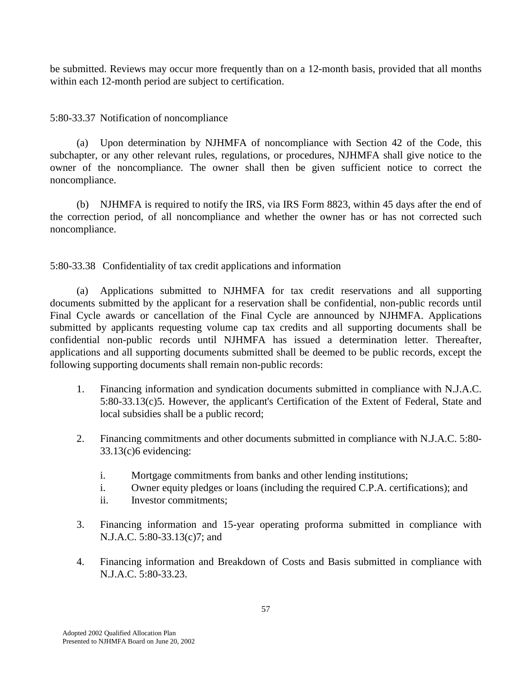be submitted. Reviews may occur more frequently than on a 12-month basis, provided that all months within each 12-month period are subject to certification.

5:80-33.37 Notification of noncompliance

 (a) Upon determination by NJHMFA of noncompliance with Section 42 of the Code, this subchapter, or any other relevant rules, regulations, or procedures, NJHMFA shall give notice to the owner of the noncompliance. The owner shall then be given sufficient notice to correct the noncompliance.

 (b) NJHMFA is required to notify the IRS, via IRS Form 8823, within 45 days after the end of the correction period, of all noncompliance and whether the owner has or has not corrected such noncompliance.

5:80-33.38 Confidentiality of tax credit applications and information

 (a) Applications submitted to NJHMFA for tax credit reservations and all supporting documents submitted by the applicant for a reservation shall be confidential, non-public records until Final Cycle awards or cancellation of the Final Cycle are announced by NJHMFA. Applications submitted by applicants requesting volume cap tax credits and all supporting documents shall be confidential non-public records until NJHMFA has issued a determination letter. Thereafter, applications and all supporting documents submitted shall be deemed to be public records, except the following supporting documents shall remain non-public records:

- 1. Financing information and syndication documents submitted in compliance with N.J.A.C. 5:80-33.13(c)5. However, the applicant's Certification of the Extent of Federal, State and local subsidies shall be a public record;
- 2. Financing commitments and other documents submitted in compliance with N.J.A.C. 5:80- 33.13(c)6 evidencing:
	- i. Mortgage commitments from banks and other lending institutions;
	- i. Owner equity pledges or loans (including the required C.P.A. certifications); and
	- ii. Investor commitments;
- 3. Financing information and 15-year operating proforma submitted in compliance with N.J.A.C. 5:80-33.13(c)7; and
- 4. Financing information and Breakdown of Costs and Basis submitted in compliance with N.J.A.C. 5:80-33.23.